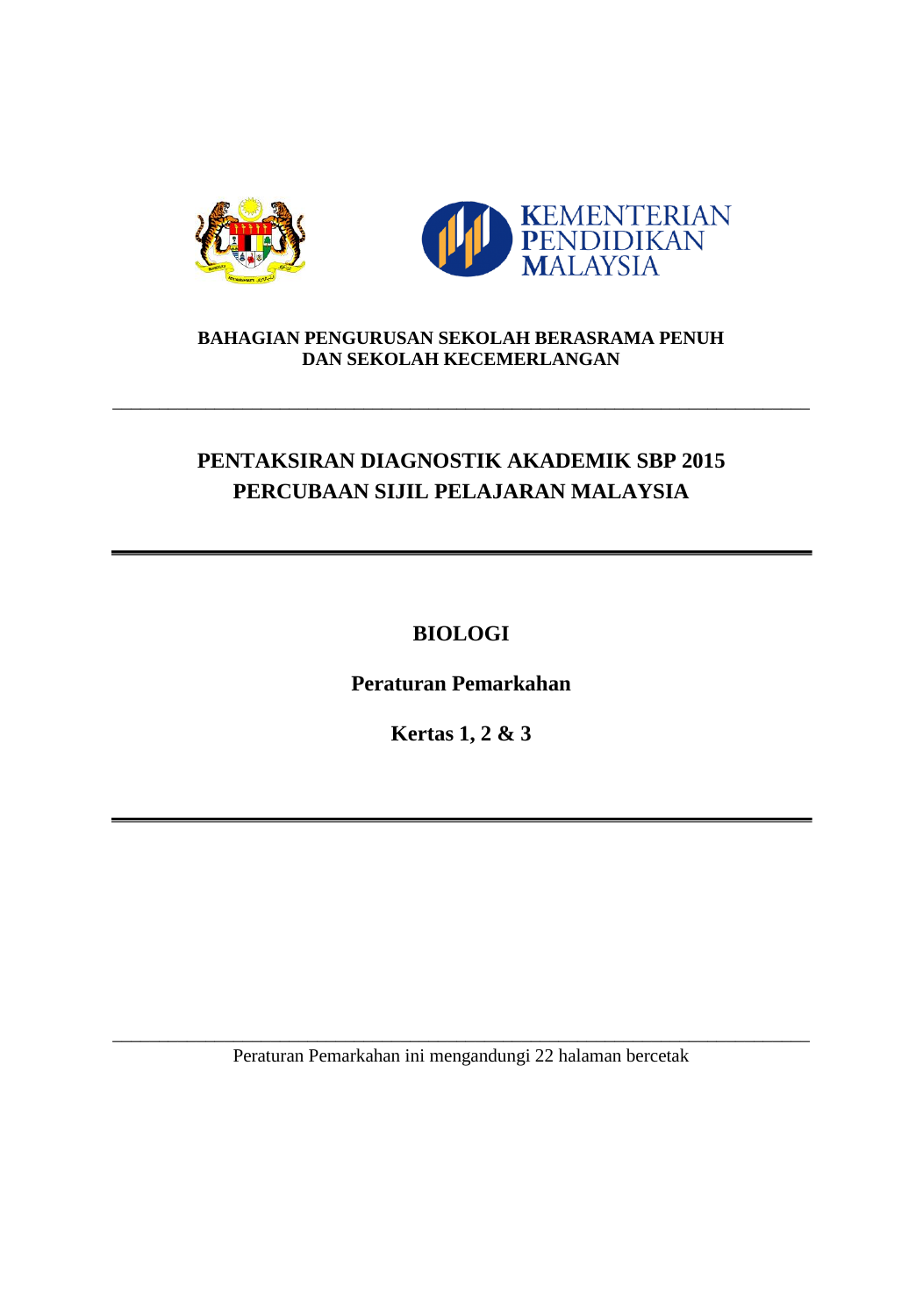



## **BAHAGIAN PENGURUSAN SEKOLAH BERASRAMA PENUH DAN SEKOLAH KECEMERLANGAN**

\_\_\_\_\_\_\_\_\_\_\_\_\_\_\_\_\_\_\_\_\_\_\_\_\_\_\_\_\_\_\_\_\_\_\_\_\_\_\_\_\_\_\_\_\_\_\_\_\_\_\_\_\_\_\_\_\_\_\_\_\_\_\_\_\_\_\_\_\_\_\_\_\_\_\_

# **PENTAKSIRAN DIAGNOSTIK AKADEMIK SBP 2015 PERCUBAAN SIJIL PELAJARAN MALAYSIA**

**BIOLOGI**

**Peraturan Pemarkahan**

**Kertas 1, 2 & 3**

\_\_\_\_\_\_\_\_\_\_\_\_\_\_\_\_\_\_\_\_\_\_\_\_\_\_\_\_\_\_\_\_\_\_\_\_\_\_\_\_\_\_\_\_\_\_\_\_\_\_\_\_\_\_\_\_\_\_\_\_\_\_\_\_\_\_\_\_\_\_\_\_\_\_\_ Peraturan Pemarkahan ini mengandungi 22 halaman bercetak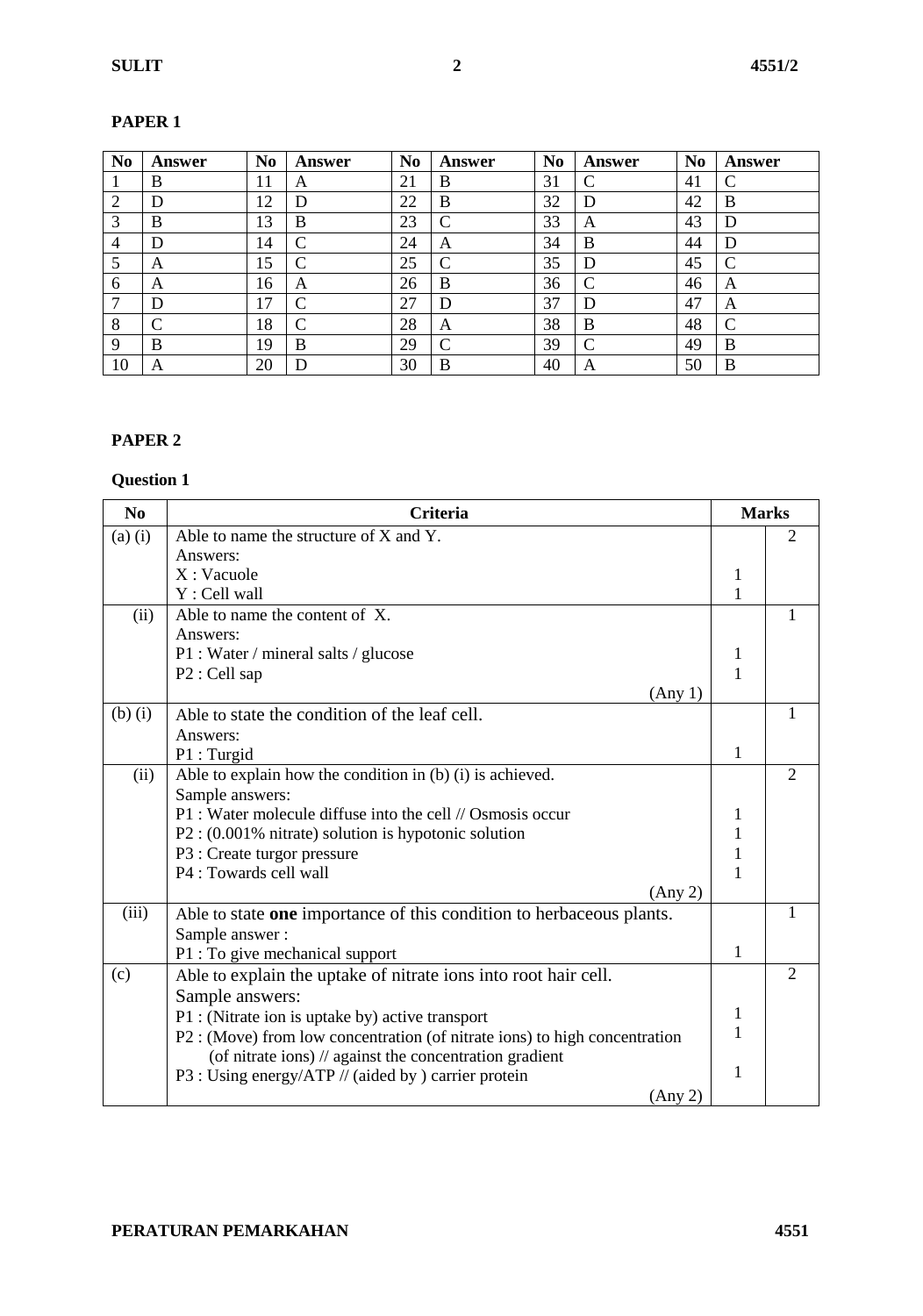| N <sub>0</sub> | <b>Answer</b> | N <sub>0</sub> | Answer     | N <sub>0</sub> | Answer             | N <sub>0</sub> | Answer | N <sub>0</sub> | Answer |
|----------------|---------------|----------------|------------|----------------|--------------------|----------------|--------|----------------|--------|
|                | B             | 11             | A          | 21             | B                  | 31             |        | 41             | C      |
| 2              | D             | 12             | D          | 22             | B                  | 32             | D      | 42             | B      |
| 3              | B             | 13             | B          | 23             | $\curvearrowright$ | 33             | A      | 43             | D      |
| $\overline{4}$ | D             | 14             | $\sqrt{ }$ | 24             | A                  | 34             | B      | 44             | D      |
| 5              | А             | 15             |            | 25             | $\Gamma$           | 35             | D      | 45             | C      |
| 6              | А             | 16             | A          | 26             | B                  | 36             |        | 46             | A      |
| 7              | D             | 17             |            | 27             | D                  | 37             | D      | 47             | А      |
| 8              |               | 18             |            | 28             | A                  | 38             | B      | 48             | C      |
| $\mathbf Q$    | B             | 19             | B          | 29             | $\curvearrowright$ | 39             |        | 49             | B      |
| 10             | А             | 20             | D          | 30             | B                  | 40             | A      | 50             | B      |

#### **PAPER 1**

#### **PAPER 2**

| N <sub>0</sub> | <b>Criteria</b>                                                            | <b>Marks</b> |                |
|----------------|----------------------------------------------------------------------------|--------------|----------------|
| $(a)$ $(i)$    | Able to name the structure of X and Y.                                     |              | 2              |
|                | Answers:                                                                   |              |                |
|                | $X:$ Vacuole                                                               | 1            |                |
|                | Y : Cell wall                                                              |              |                |
| (ii)           | Able to name the content of X.                                             |              |                |
|                | Answers:                                                                   |              |                |
|                | P1 : Water / mineral salts / glucose                                       | 1            |                |
|                | P2 : Cell sap                                                              | 1            |                |
|                | (Any 1)                                                                    |              |                |
| $(b)$ $(i)$    | Able to state the condition of the leaf cell.                              |              |                |
|                | Answers:                                                                   |              |                |
|                | P1 : Turgid                                                                | 1            |                |
| (ii)           | Able to explain how the condition in (b) $(i)$ is achieved.                |              | $\overline{2}$ |
|                | Sample answers:                                                            |              |                |
|                | P1 : Water molecule diffuse into the cell // Osmosis occur                 | 1            |                |
|                | $P2: (0.001\%$ nitrate) solution is hypotonic solution                     | 1            |                |
|                | P3 : Create turgor pressure                                                | 1            |                |
|                | P4 : Towards cell wall                                                     | 1            |                |
|                | (Any 2)                                                                    |              |                |
| (iii)          | Able to state one importance of this condition to herbaceous plants.       |              |                |
|                | Sample answer:                                                             |              |                |
|                | P1 : To give mechanical support                                            | 1            |                |
| (c)            | Able to explain the uptake of nitrate ions into root hair cell.            |              | $\overline{2}$ |
|                | Sample answers:                                                            |              |                |
|                | P1 : (Nitrate ion is uptake by) active transport                           | 1            |                |
|                | P2 : (Move) from low concentration (of nitrate ions) to high concentration | 1            |                |
|                | (of nitrate ions) // against the concentration gradient                    |              |                |
|                | P3 : Using energy/ATP // (aided by ) carrier protein                       | 1            |                |
|                | (Any 2)                                                                    |              |                |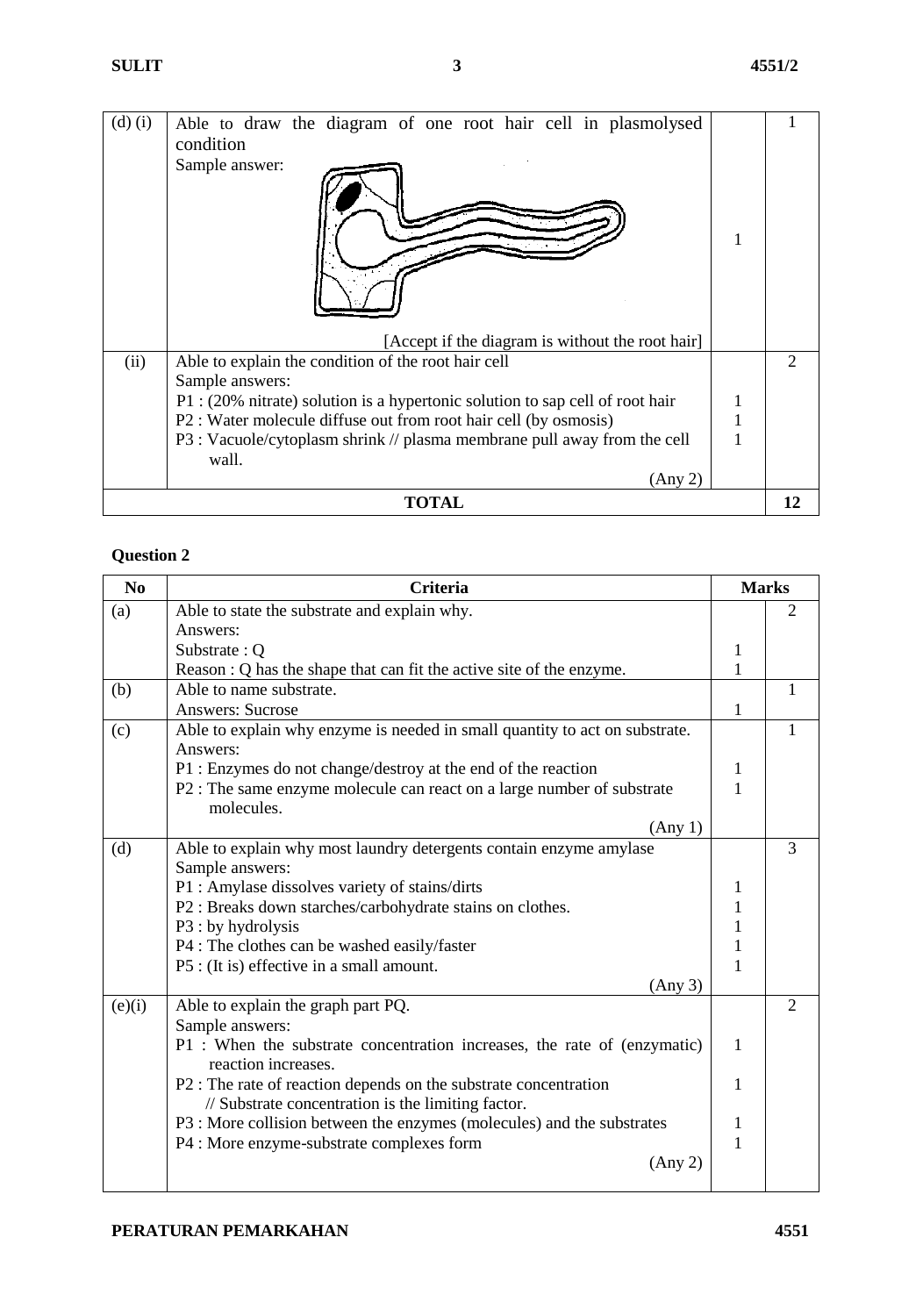| $(d)$ $(i)$ | Able to draw the diagram of one root hair cell in plasmolysed                 |               |
|-------------|-------------------------------------------------------------------------------|---------------|
|             | condition                                                                     |               |
|             | Sample answer:                                                                |               |
|             | [Accept if the diagram is without the root hair]                              |               |
| (ii)        | Able to explain the condition of the root hair cell                           | $\mathcal{D}$ |
|             | Sample answers:                                                               |               |
|             | P1 : (20% nitrate) solution is a hypertonic solution to sap cell of root hair |               |
|             | P2 : Water molecule diffuse out from root hair cell (by osmosis)              |               |
|             | P3 : Vacuole/cytoplasm shrink // plasma membrane pull away from the cell      |               |
|             | wall.                                                                         |               |
|             | (Any 2)                                                                       |               |
|             | <b>TOTAL</b>                                                                  | 12            |

| N <sub>0</sub> | <b>Criteria</b>                                                                                 | <b>Marks</b> |                |
|----------------|-------------------------------------------------------------------------------------------------|--------------|----------------|
| (a)            | Able to state the substrate and explain why.                                                    |              | 2              |
|                | Answers:                                                                                        |              |                |
|                | Substrate: Q                                                                                    | 1            |                |
|                | Reason : Q has the shape that can fit the active site of the enzyme.                            | 1            |                |
| (b)            | Able to name substrate.                                                                         |              | 1              |
|                | <b>Answers: Sucrose</b>                                                                         | 1            |                |
| (c)            | Able to explain why enzyme is needed in small quantity to act on substrate.<br>Answers:         |              | 1              |
|                | P1 : Enzymes do not change/destroy at the end of the reaction                                   | 1            |                |
|                | P2 : The same enzyme molecule can react on a large number of substrate<br>molecules.            | 1            |                |
|                |                                                                                                 |              |                |
|                | (Any 1)                                                                                         |              | 3              |
| (d)            | Able to explain why most laundry detergents contain enzyme amylase                              |              |                |
|                | Sample answers:                                                                                 |              |                |
|                | P1 : Amylase dissolves variety of stains/dirts                                                  | 1            |                |
|                | P2 : Breaks down starches/carbohydrate stains on clothes.                                       | 1            |                |
|                | P3 : by hydrolysis                                                                              | 1            |                |
|                | P4 : The clothes can be washed easily/faster                                                    | 1            |                |
|                | P5 : (It is) effective in a small amount.                                                       | 1            |                |
|                | (Any 3)                                                                                         |              |                |
| (e)(i)         | Able to explain the graph part PQ.                                                              |              | $\overline{2}$ |
|                | Sample answers:                                                                                 |              |                |
|                | P1 : When the substrate concentration increases, the rate of (enzymatic)<br>reaction increases. | 1            |                |
|                | P2 : The rate of reaction depends on the substrate concentration                                | 1            |                |
|                | // Substrate concentration is the limiting factor.                                              |              |                |
|                | P3 : More collision between the enzymes (molecules) and the substrates                          | 1            |                |
|                | P4 : More enzyme-substrate complexes form                                                       | $\mathbf{1}$ |                |
|                | (Any 2)                                                                                         |              |                |
|                |                                                                                                 |              |                |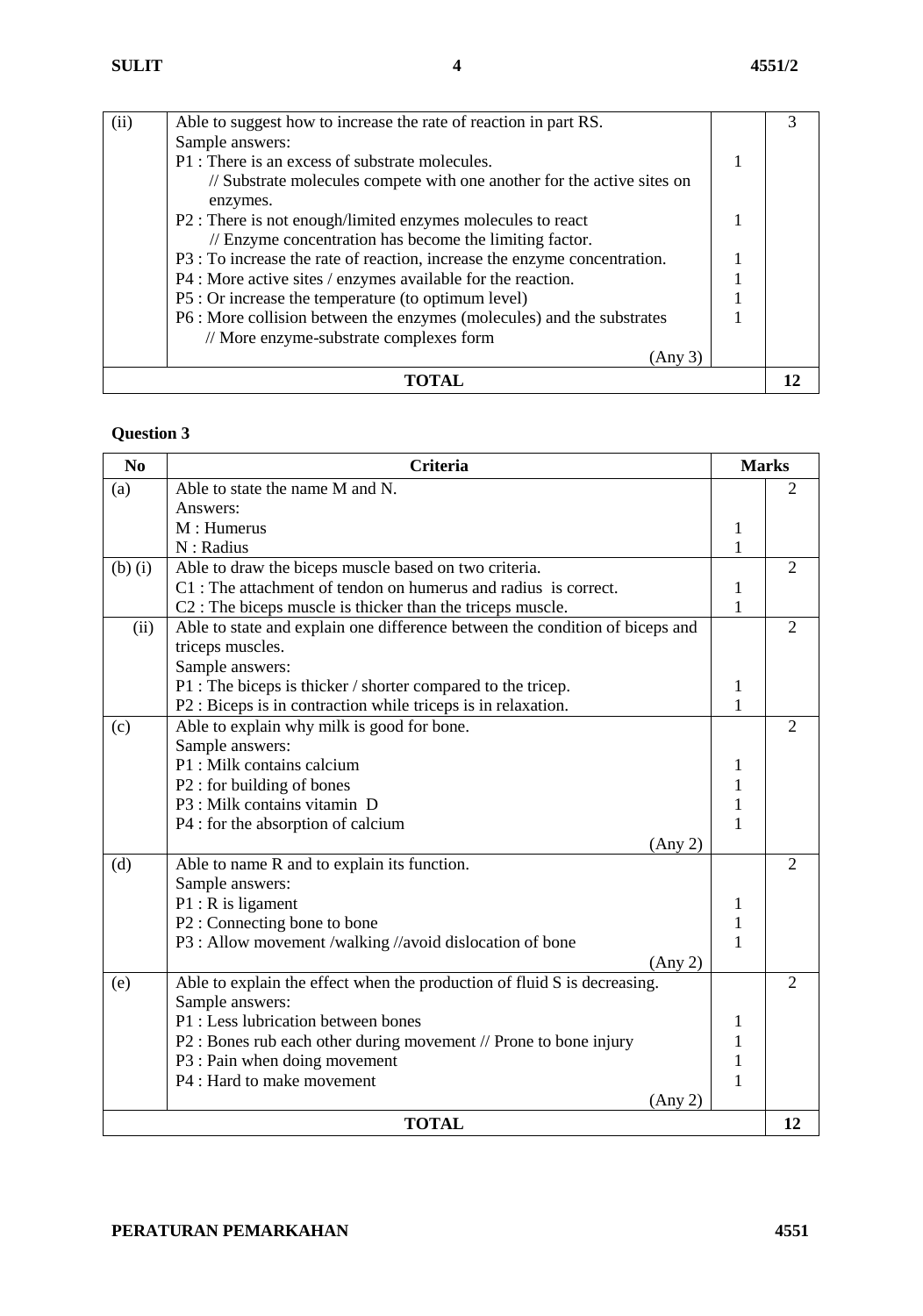| (ii) | Able to suggest how to increase the rate of reaction in part RS.                    |  |
|------|-------------------------------------------------------------------------------------|--|
|      | Sample answers:                                                                     |  |
|      | P1 : There is an excess of substrate molecules.                                     |  |
|      | // Substrate molecules compete with one another for the active sites on<br>enzymes. |  |
|      | P2 : There is not enough/limited enzymes molecules to react                         |  |
|      | // Enzyme concentration has become the limiting factor.                             |  |
|      | P3 : To increase the rate of reaction, increase the enzyme concentration.           |  |
|      | P4 : More active sites / enzymes available for the reaction.                        |  |
|      | P5 : Or increase the temperature (to optimum level)                                 |  |
|      | P6 : More collision between the enzymes (molecules) and the substrates              |  |
|      | // More enzyme-substrate complexes form                                             |  |
|      | (Any 3)                                                                             |  |
|      |                                                                                     |  |

| N <sub>0</sub> | <b>Criteria</b>                                                              |              | <b>Marks</b>   |
|----------------|------------------------------------------------------------------------------|--------------|----------------|
| (a)            | Able to state the name M and N.                                              |              | 2              |
|                | Answers:                                                                     |              |                |
|                | M: Humerus                                                                   | $\mathbf{1}$ |                |
|                | N: Radius                                                                    | $\mathbf{1}$ |                |
| $(b)$ $(i)$    | Able to draw the biceps muscle based on two criteria.                        |              | $\overline{2}$ |
|                | C1 : The attachment of tendon on humerus and radius is correct.              | 1            |                |
|                | C <sub>2</sub> : The biceps muscle is thicker than the triceps muscle.       | $\mathbf{1}$ |                |
| (ii)           | Able to state and explain one difference between the condition of biceps and |              | $\overline{2}$ |
|                | triceps muscles.                                                             |              |                |
|                | Sample answers:                                                              |              |                |
|                | P1 : The biceps is thicker / shorter compared to the tricep.                 | $\mathbf{1}$ |                |
|                | P2 : Biceps is in contraction while triceps is in relaxation.                | $\mathbf{1}$ |                |
| (c)            | Able to explain why milk is good for bone.                                   |              | 2              |
|                | Sample answers:                                                              |              |                |
|                | P1 : Milk contains calcium                                                   | 1            |                |
|                | P2 : for building of bones                                                   | 1            |                |
|                | P3 : Milk contains vitamin D                                                 | 1            |                |
|                | P4 : for the absorption of calcium                                           | 1            |                |
|                | (Any 2)                                                                      |              |                |
| (d)            | Able to name R and to explain its function.                                  |              | $\overline{2}$ |
|                | Sample answers:                                                              |              |                |
|                | $P1: R$ is ligament                                                          | 1            |                |
|                | P2 : Connecting bone to bone                                                 | $\mathbf{1}$ |                |
|                | P3 : Allow movement /walking //avoid dislocation of bone                     | $\mathbf{1}$ |                |
|                | (Any 2)                                                                      |              |                |
| (e)            | Able to explain the effect when the production of fluid S is decreasing.     |              | $\overline{2}$ |
|                | Sample answers:                                                              |              |                |
|                | P1 : Less lubrication between bones                                          | 1            |                |
|                | P2 : Bones rub each other during movement // Prone to bone injury            | 1            |                |
|                | P3 : Pain when doing movement                                                | $\mathbf{1}$ |                |
|                | P4 : Hard to make movement                                                   | 1            |                |
|                | (Any 2)                                                                      |              |                |
|                | <b>TOTAL</b>                                                                 |              | 12             |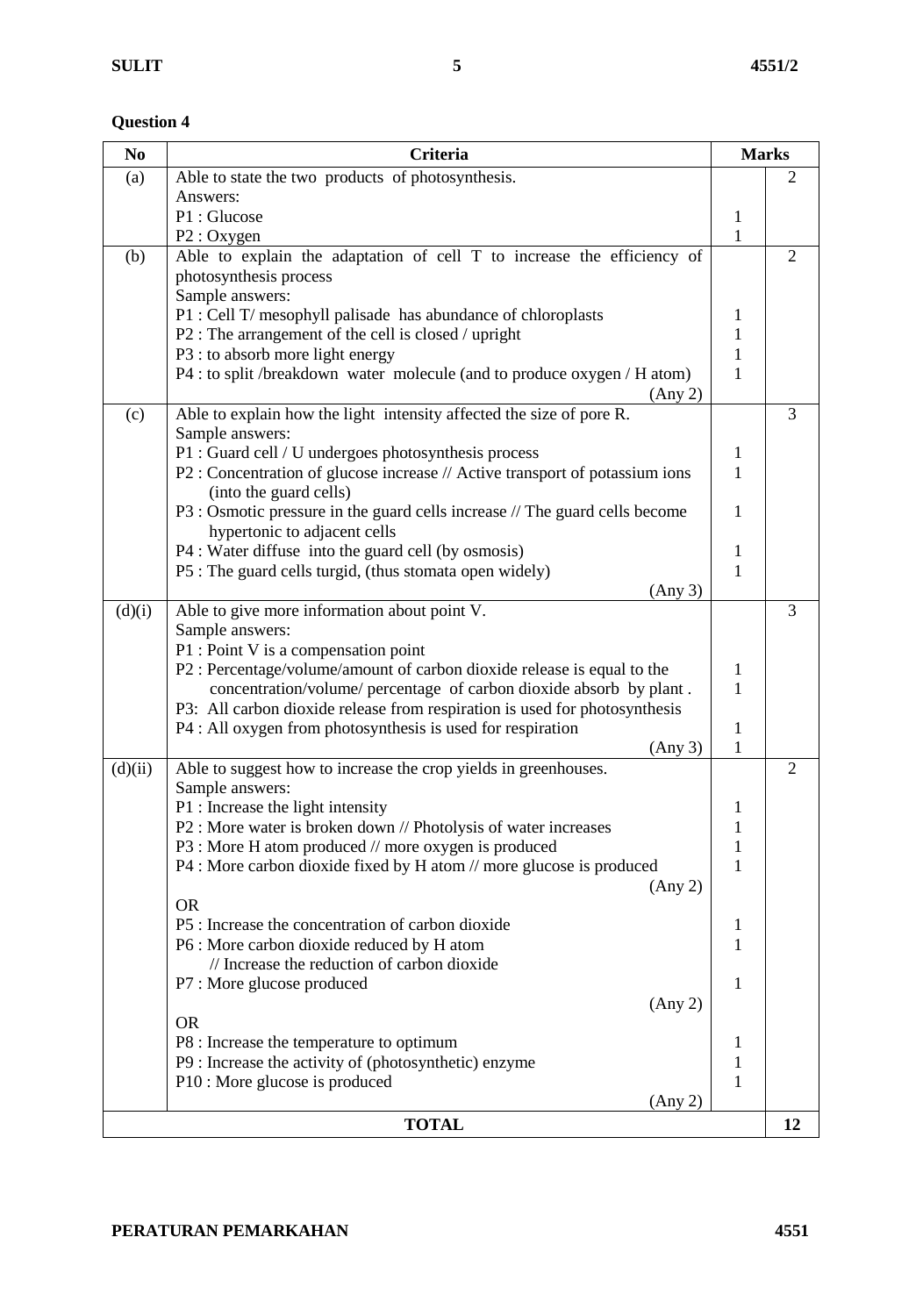| N <sub>0</sub> | Criteria                                                                                                                | <b>Marks</b>                 |                |
|----------------|-------------------------------------------------------------------------------------------------------------------------|------------------------------|----------------|
| (a)            | Able to state the two products of photosynthesis.                                                                       |                              | 2              |
|                | Answers:                                                                                                                |                              |                |
|                | P1: Glucose                                                                                                             | $\mathbf{1}$                 |                |
|                | P2 : Oxygen                                                                                                             | $\mathbf{1}$                 |                |
| (b)            | Able to explain the adaptation of cell T to increase the efficiency of                                                  |                              | $\overline{2}$ |
|                | photosynthesis process                                                                                                  |                              |                |
|                | Sample answers:                                                                                                         |                              |                |
|                | P1 : Cell T/ mesophyll palisade has abundance of chloroplasts<br>P2 : The arrangement of the cell is closed / upright   | 1<br>$\mathbf{1}$            |                |
|                | P3 : to absorb more light energy                                                                                        | 1                            |                |
|                | P4 : to split /breakdown water molecule (and to produce oxygen / H atom)                                                | 1                            |                |
|                | (Any 2)                                                                                                                 |                              |                |
| (c)            | Able to explain how the light intensity affected the size of pore R.                                                    |                              | 3              |
|                | Sample answers:                                                                                                         |                              |                |
|                | P1 : Guard cell / U undergoes photosynthesis process                                                                    | 1                            |                |
|                | P2 : Concentration of glucose increase // Active transport of potassium ions                                            | 1                            |                |
|                | (into the guard cells)                                                                                                  |                              |                |
|                | P3 : Osmotic pressure in the guard cells increase // The guard cells become                                             | 1                            |                |
|                | hypertonic to adjacent cells                                                                                            |                              |                |
|                | P4 : Water diffuse into the guard cell (by osmosis)                                                                     | 1                            |                |
|                | P5 : The guard cells turgid, (thus stomata open widely)                                                                 | 1                            |                |
|                | (Any 3)                                                                                                                 |                              |                |
| (d)(i)         | Able to give more information about point V.                                                                            |                              | 3              |
|                | Sample answers:                                                                                                         |                              |                |
|                | P1 : Point V is a compensation point                                                                                    |                              |                |
|                | P2 : Percentage/volume/amount of carbon dioxide release is equal to the                                                 | 1                            |                |
|                | concentration/volume/ percentage of carbon dioxide absorb by plant.                                                     | 1                            |                |
|                | P3: All carbon dioxide release from respiration is used for photosynthesis                                              |                              |                |
|                | P4 : All oxygen from photosynthesis is used for respiration                                                             | 1                            |                |
|                | (Any 3)                                                                                                                 | 1                            |                |
| (d)(ii)        | Able to suggest how to increase the crop yields in greenhouses.                                                         |                              | 2              |
|                | Sample answers:                                                                                                         |                              |                |
|                | P1 : Increase the light intensity                                                                                       | 1<br>1                       |                |
|                | P2 : More water is broken down // Photolysis of water increases<br>P3 : More H atom produced // more oxygen is produced |                              |                |
|                | P4 : More carbon dioxide fixed by H atom // more glucose is produced                                                    | $\mathbf{1}$<br>$\mathbf{1}$ |                |
|                | (Any 2)                                                                                                                 |                              |                |
|                | <b>OR</b>                                                                                                               |                              |                |
|                | P5 : Increase the concentration of carbon dioxide                                                                       | $\mathbf 1$                  |                |
|                | P6 : More carbon dioxide reduced by H atom                                                                              | 1                            |                |
|                | // Increase the reduction of carbon dioxide                                                                             |                              |                |
|                | P7 : More glucose produced                                                                                              | 1                            |                |
|                | (Any 2)                                                                                                                 |                              |                |
|                | <b>OR</b>                                                                                                               |                              |                |
|                | P8 : Increase the temperature to optimum                                                                                | $\mathbf{1}$                 |                |
|                | P9 : Increase the activity of (photosynthetic) enzyme                                                                   | $\mathbf{1}$                 |                |
|                | P10 : More glucose is produced                                                                                          | 1                            |                |
|                | (Any 2)                                                                                                                 |                              |                |
|                | <b>TOTAL</b>                                                                                                            |                              | 12             |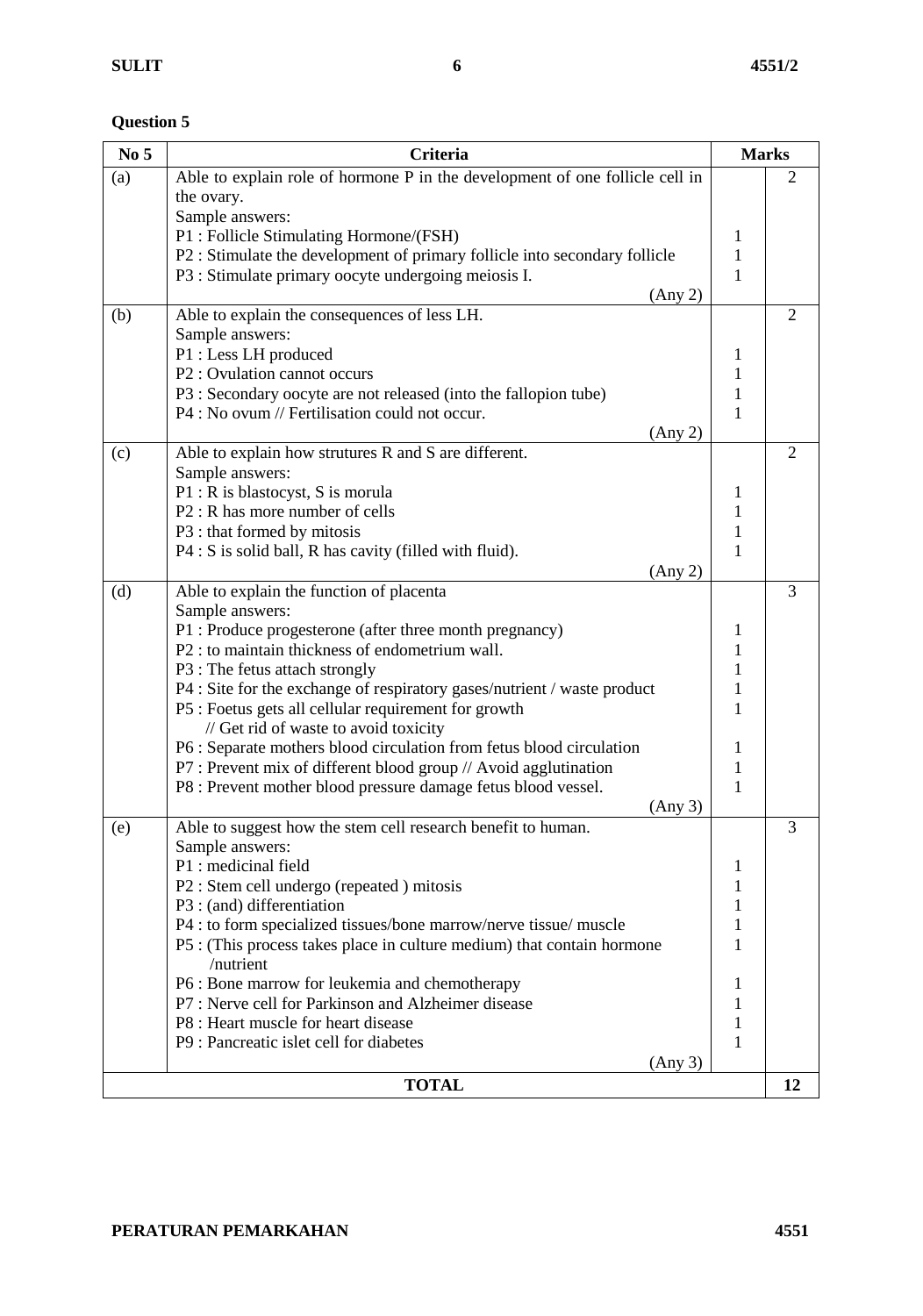| No <sub>5</sub> | <b>Criteria</b>                                                                               | <b>Marks</b>      |                |
|-----------------|-----------------------------------------------------------------------------------------------|-------------------|----------------|
| (a)             | Able to explain role of hormone P in the development of one follicle cell in                  |                   | $\overline{2}$ |
|                 | the ovary.                                                                                    |                   |                |
|                 | Sample answers:                                                                               |                   |                |
|                 | P1 : Follicle Stimulating Hormone/(FSH)                                                       | $\mathbf{1}$      |                |
|                 | P2 : Stimulate the development of primary follicle into secondary follicle                    | $\mathbf{1}$      |                |
|                 | P3 : Stimulate primary oocyte undergoing meiosis I.                                           | 1                 |                |
|                 | (Any 2)                                                                                       |                   |                |
| (b)             | Able to explain the consequences of less LH.                                                  |                   | $\overline{2}$ |
|                 | Sample answers:                                                                               |                   |                |
|                 | P1 : Less LH produced                                                                         | 1                 |                |
|                 | P2: Ovulation cannot occurs                                                                   | 1                 |                |
|                 | P3 : Secondary oocyte are not released (into the fallopion tube)                              | $\mathbf{1}$      |                |
|                 | P4 : No ovum // Fertilisation could not occur.                                                | 1                 |                |
|                 | (Any 2)                                                                                       |                   |                |
| (c)             | Able to explain how strutures R and S are different.                                          |                   | $\overline{2}$ |
|                 | Sample answers:                                                                               |                   |                |
|                 | P1 : R is blastocyst, S is morula                                                             | $\mathbf{1}$      |                |
|                 | P <sub>2</sub> : R has more number of cells                                                   | $\mathbf{1}$      |                |
|                 | P3 : that formed by mitosis                                                                   | $\mathbf{1}$      |                |
|                 | $P4: S$ is solid ball, R has cavity (filled with fluid).                                      | 1                 |                |
|                 | (Any 2)                                                                                       |                   |                |
| (d)             | Able to explain the function of placenta                                                      |                   | 3              |
|                 | Sample answers:                                                                               |                   |                |
|                 | P1 : Produce progesterone (after three month pregnancy)                                       | 1                 |                |
|                 | P2 : to maintain thickness of endometrium wall.                                               | 1                 |                |
|                 | P3 : The fetus attach strongly                                                                | 1<br>$\mathbf{1}$ |                |
|                 | P4 : Site for the exchange of respiratory gases/nutrient / waste product                      | 1                 |                |
|                 | P5 : Foetus gets all cellular requirement for growth<br>// Get rid of waste to avoid toxicity |                   |                |
|                 | P6 : Separate mothers blood circulation from fetus blood circulation                          | 1                 |                |
|                 | P7 : Prevent mix of different blood group // Avoid agglutination                              | $\mathbf{1}$      |                |
|                 | P8 : Prevent mother blood pressure damage fetus blood vessel.                                 | 1                 |                |
|                 | (Any 3)                                                                                       |                   |                |
| (e)             | Able to suggest how the stem cell research benefit to human.                                  |                   | 3              |
|                 | Sample answers:                                                                               |                   |                |
|                 | P1 : medicinal field                                                                          | 1                 |                |
|                 | P2 : Stem cell undergo (repeated ) mitosis                                                    | 1                 |                |
|                 | P3 : (and) differentiation                                                                    | 1                 |                |
|                 | P4 : to form specialized tissues/bone marrow/nerve tissue/ muscle                             | 1                 |                |
|                 | P5 : (This process takes place in culture medium) that contain hormone                        | 1                 |                |
|                 | /nutrient                                                                                     |                   |                |
|                 | P6 : Bone marrow for leukemia and chemotherapy                                                | 1                 |                |
|                 | P7: Nerve cell for Parkinson and Alzheimer disease                                            | 1                 |                |
|                 | P8 : Heart muscle for heart disease                                                           | 1                 |                |
|                 | P9 : Pancreatic islet cell for diabetes                                                       | 1                 |                |
|                 | (Any 3)                                                                                       |                   |                |
|                 | <b>TOTAL</b>                                                                                  |                   | 12             |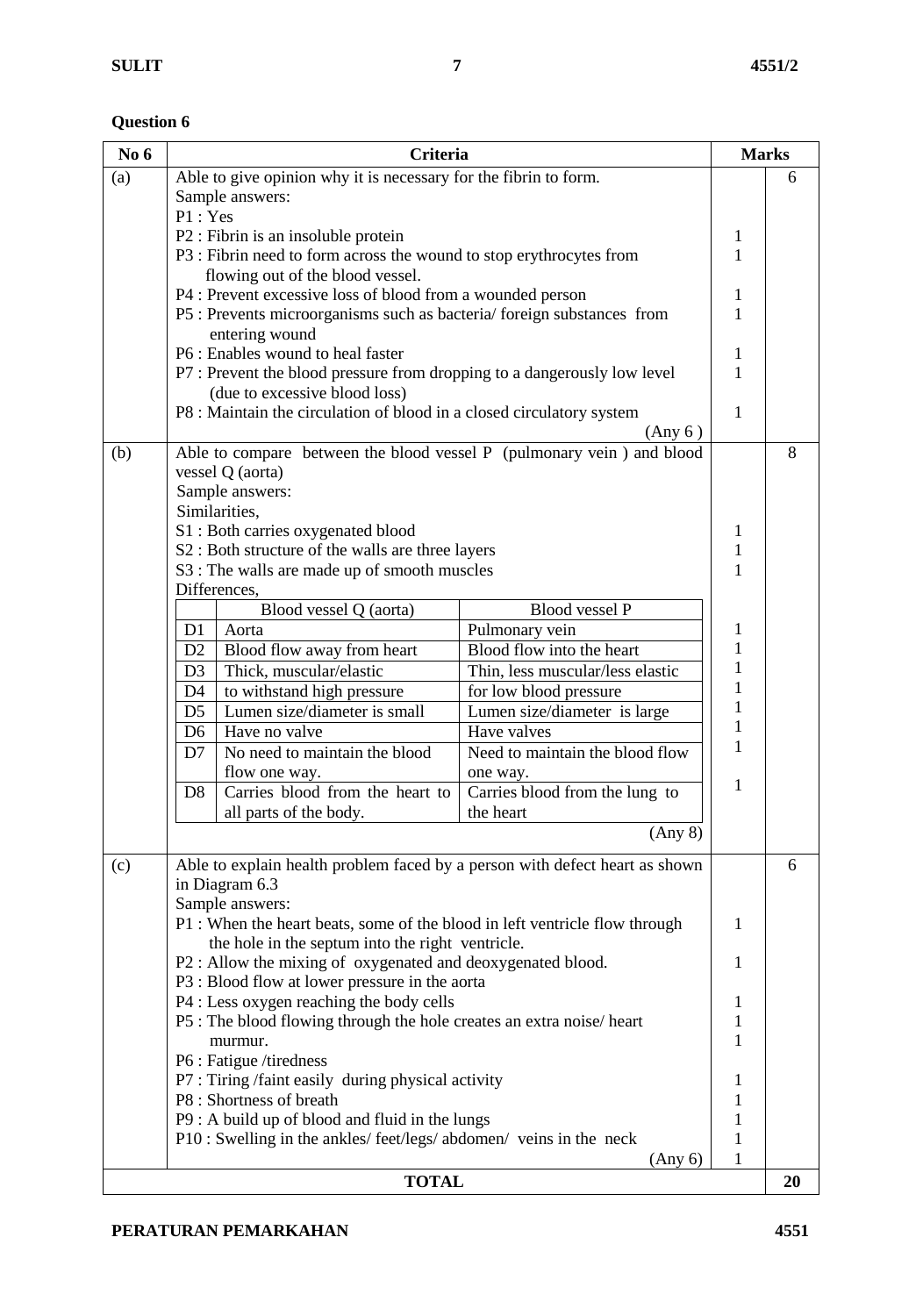| Able to give opinion why it is necessary for the fibrin to form.<br>(a)<br>6<br>Sample answers:<br>P1: Yes<br>P2 : Fibrin is an insoluble protein<br>1<br>$\mathbf{1}$<br>P3 : Fibrin need to form across the wound to stop erythrocytes from<br>flowing out of the blood vessel.<br>P4 : Prevent excessive loss of blood from a wounded person<br>1<br>P5 : Prevents microorganisms such as bacteria/foreign substances from<br>1<br>entering wound<br>P6 : Enables wound to heal faster<br>1<br>P7 : Prevent the blood pressure from dropping to a dangerously low level<br>1<br>(due to excessive blood loss)<br>P8 : Maintain the circulation of blood in a closed circulatory system<br>1<br>(Any 6)<br>Able to compare between the blood vessel P (pulmonary vein) and blood<br>8<br>(b)<br>vessel Q (aorta)<br>Sample answers:<br>Similarities,<br>S1: Both carries oxygenated blood<br>1<br>S2 : Both structure of the walls are three layers<br>$\mathbf{1}$<br>1<br>S3 : The walls are made up of smooth muscles<br>Differences,<br>Blood vessel Q (aorta)<br><b>Blood vessel P</b><br>1<br>Pulmonary vein<br>Aorta<br>D <sub>1</sub><br>$\mathbf{1}$<br>Blood flow into the heart<br>D <sub>2</sub><br>Blood flow away from heart<br>$\mathbf{1}$<br>Thick, muscular/elastic<br>Thin, less muscular/less elastic<br>D <sub>3</sub><br>$\mathbf{1}$<br>to withstand high pressure<br>D <sub>4</sub><br>for low blood pressure<br>$\mathbf{1}$<br>Lumen size/diameter is small<br>D <sub>5</sub><br>Lumen size/diameter is large<br>$\mathbf{1}$<br>Have no valve<br>Have valves<br>D <sub>6</sub><br>1<br>No need to maintain the blood<br>Need to maintain the blood flow<br>D7<br>flow one way.<br>one way.<br>1<br>Carries blood from the heart to<br>D <sub>8</sub><br>Carries blood from the lung to<br>all parts of the body.<br>the heart<br>(Any 8)<br>Able to explain health problem faced by a person with defect heart as shown<br>(c)<br>6<br>in Diagram 6.3<br>Sample answers:<br>1<br>P1 : When the heart beats, some of the blood in left ventricle flow through<br>the hole in the septum into the right ventricle.<br>P2 : Allow the mixing of oxygenated and deoxygenated blood.<br>1<br>P3 : Blood flow at lower pressure in the aorta<br>P4 : Less oxygen reaching the body cells<br>1<br>P5 : The blood flowing through the hole creates an extra noise/heart<br>1<br>1<br>murmur.<br>P6 : Fatigue /tiredness<br>P7 : Tiring /faint easily during physical activity<br>1<br>P8 : Shortness of breath<br>1<br>P9 : A build up of blood and fluid in the lungs<br>1<br>P10 : Swelling in the ankles/feet/legs/abdomen/veins in the neck<br>1<br>1<br>(Any 6)<br><b>TOTAL</b><br>20 | No 6 | <b>Criteria</b> |  |  | <b>Marks</b> |
|-----------------------------------------------------------------------------------------------------------------------------------------------------------------------------------------------------------------------------------------------------------------------------------------------------------------------------------------------------------------------------------------------------------------------------------------------------------------------------------------------------------------------------------------------------------------------------------------------------------------------------------------------------------------------------------------------------------------------------------------------------------------------------------------------------------------------------------------------------------------------------------------------------------------------------------------------------------------------------------------------------------------------------------------------------------------------------------------------------------------------------------------------------------------------------------------------------------------------------------------------------------------------------------------------------------------------------------------------------------------------------------------------------------------------------------------------------------------------------------------------------------------------------------------------------------------------------------------------------------------------------------------------------------------------------------------------------------------------------------------------------------------------------------------------------------------------------------------------------------------------------------------------------------------------------------------------------------------------------------------------------------------------------------------------------------------------------------------------------------------------------------------------------------------------------------------------------------------------------------------------------------------------------------------------------------------------------------------------------------------------------------------------------------------------------------------------------------------------------------------------------------------------------------------------------------------------------------------------------------------------------------------------------------------------------------------------------------------|------|-----------------|--|--|--------------|
|                                                                                                                                                                                                                                                                                                                                                                                                                                                                                                                                                                                                                                                                                                                                                                                                                                                                                                                                                                                                                                                                                                                                                                                                                                                                                                                                                                                                                                                                                                                                                                                                                                                                                                                                                                                                                                                                                                                                                                                                                                                                                                                                                                                                                                                                                                                                                                                                                                                                                                                                                                                                                                                                                                                 |      |                 |  |  |              |
|                                                                                                                                                                                                                                                                                                                                                                                                                                                                                                                                                                                                                                                                                                                                                                                                                                                                                                                                                                                                                                                                                                                                                                                                                                                                                                                                                                                                                                                                                                                                                                                                                                                                                                                                                                                                                                                                                                                                                                                                                                                                                                                                                                                                                                                                                                                                                                                                                                                                                                                                                                                                                                                                                                                 |      |                 |  |  |              |
|                                                                                                                                                                                                                                                                                                                                                                                                                                                                                                                                                                                                                                                                                                                                                                                                                                                                                                                                                                                                                                                                                                                                                                                                                                                                                                                                                                                                                                                                                                                                                                                                                                                                                                                                                                                                                                                                                                                                                                                                                                                                                                                                                                                                                                                                                                                                                                                                                                                                                                                                                                                                                                                                                                                 |      |                 |  |  |              |
|                                                                                                                                                                                                                                                                                                                                                                                                                                                                                                                                                                                                                                                                                                                                                                                                                                                                                                                                                                                                                                                                                                                                                                                                                                                                                                                                                                                                                                                                                                                                                                                                                                                                                                                                                                                                                                                                                                                                                                                                                                                                                                                                                                                                                                                                                                                                                                                                                                                                                                                                                                                                                                                                                                                 |      |                 |  |  |              |
|                                                                                                                                                                                                                                                                                                                                                                                                                                                                                                                                                                                                                                                                                                                                                                                                                                                                                                                                                                                                                                                                                                                                                                                                                                                                                                                                                                                                                                                                                                                                                                                                                                                                                                                                                                                                                                                                                                                                                                                                                                                                                                                                                                                                                                                                                                                                                                                                                                                                                                                                                                                                                                                                                                                 |      |                 |  |  |              |
|                                                                                                                                                                                                                                                                                                                                                                                                                                                                                                                                                                                                                                                                                                                                                                                                                                                                                                                                                                                                                                                                                                                                                                                                                                                                                                                                                                                                                                                                                                                                                                                                                                                                                                                                                                                                                                                                                                                                                                                                                                                                                                                                                                                                                                                                                                                                                                                                                                                                                                                                                                                                                                                                                                                 |      |                 |  |  |              |
|                                                                                                                                                                                                                                                                                                                                                                                                                                                                                                                                                                                                                                                                                                                                                                                                                                                                                                                                                                                                                                                                                                                                                                                                                                                                                                                                                                                                                                                                                                                                                                                                                                                                                                                                                                                                                                                                                                                                                                                                                                                                                                                                                                                                                                                                                                                                                                                                                                                                                                                                                                                                                                                                                                                 |      |                 |  |  |              |
|                                                                                                                                                                                                                                                                                                                                                                                                                                                                                                                                                                                                                                                                                                                                                                                                                                                                                                                                                                                                                                                                                                                                                                                                                                                                                                                                                                                                                                                                                                                                                                                                                                                                                                                                                                                                                                                                                                                                                                                                                                                                                                                                                                                                                                                                                                                                                                                                                                                                                                                                                                                                                                                                                                                 |      |                 |  |  |              |
|                                                                                                                                                                                                                                                                                                                                                                                                                                                                                                                                                                                                                                                                                                                                                                                                                                                                                                                                                                                                                                                                                                                                                                                                                                                                                                                                                                                                                                                                                                                                                                                                                                                                                                                                                                                                                                                                                                                                                                                                                                                                                                                                                                                                                                                                                                                                                                                                                                                                                                                                                                                                                                                                                                                 |      |                 |  |  |              |
|                                                                                                                                                                                                                                                                                                                                                                                                                                                                                                                                                                                                                                                                                                                                                                                                                                                                                                                                                                                                                                                                                                                                                                                                                                                                                                                                                                                                                                                                                                                                                                                                                                                                                                                                                                                                                                                                                                                                                                                                                                                                                                                                                                                                                                                                                                                                                                                                                                                                                                                                                                                                                                                                                                                 |      |                 |  |  |              |
|                                                                                                                                                                                                                                                                                                                                                                                                                                                                                                                                                                                                                                                                                                                                                                                                                                                                                                                                                                                                                                                                                                                                                                                                                                                                                                                                                                                                                                                                                                                                                                                                                                                                                                                                                                                                                                                                                                                                                                                                                                                                                                                                                                                                                                                                                                                                                                                                                                                                                                                                                                                                                                                                                                                 |      |                 |  |  |              |
|                                                                                                                                                                                                                                                                                                                                                                                                                                                                                                                                                                                                                                                                                                                                                                                                                                                                                                                                                                                                                                                                                                                                                                                                                                                                                                                                                                                                                                                                                                                                                                                                                                                                                                                                                                                                                                                                                                                                                                                                                                                                                                                                                                                                                                                                                                                                                                                                                                                                                                                                                                                                                                                                                                                 |      |                 |  |  |              |
|                                                                                                                                                                                                                                                                                                                                                                                                                                                                                                                                                                                                                                                                                                                                                                                                                                                                                                                                                                                                                                                                                                                                                                                                                                                                                                                                                                                                                                                                                                                                                                                                                                                                                                                                                                                                                                                                                                                                                                                                                                                                                                                                                                                                                                                                                                                                                                                                                                                                                                                                                                                                                                                                                                                 |      |                 |  |  |              |
|                                                                                                                                                                                                                                                                                                                                                                                                                                                                                                                                                                                                                                                                                                                                                                                                                                                                                                                                                                                                                                                                                                                                                                                                                                                                                                                                                                                                                                                                                                                                                                                                                                                                                                                                                                                                                                                                                                                                                                                                                                                                                                                                                                                                                                                                                                                                                                                                                                                                                                                                                                                                                                                                                                                 |      |                 |  |  |              |
|                                                                                                                                                                                                                                                                                                                                                                                                                                                                                                                                                                                                                                                                                                                                                                                                                                                                                                                                                                                                                                                                                                                                                                                                                                                                                                                                                                                                                                                                                                                                                                                                                                                                                                                                                                                                                                                                                                                                                                                                                                                                                                                                                                                                                                                                                                                                                                                                                                                                                                                                                                                                                                                                                                                 |      |                 |  |  |              |
|                                                                                                                                                                                                                                                                                                                                                                                                                                                                                                                                                                                                                                                                                                                                                                                                                                                                                                                                                                                                                                                                                                                                                                                                                                                                                                                                                                                                                                                                                                                                                                                                                                                                                                                                                                                                                                                                                                                                                                                                                                                                                                                                                                                                                                                                                                                                                                                                                                                                                                                                                                                                                                                                                                                 |      |                 |  |  |              |
|                                                                                                                                                                                                                                                                                                                                                                                                                                                                                                                                                                                                                                                                                                                                                                                                                                                                                                                                                                                                                                                                                                                                                                                                                                                                                                                                                                                                                                                                                                                                                                                                                                                                                                                                                                                                                                                                                                                                                                                                                                                                                                                                                                                                                                                                                                                                                                                                                                                                                                                                                                                                                                                                                                                 |      |                 |  |  |              |
|                                                                                                                                                                                                                                                                                                                                                                                                                                                                                                                                                                                                                                                                                                                                                                                                                                                                                                                                                                                                                                                                                                                                                                                                                                                                                                                                                                                                                                                                                                                                                                                                                                                                                                                                                                                                                                                                                                                                                                                                                                                                                                                                                                                                                                                                                                                                                                                                                                                                                                                                                                                                                                                                                                                 |      |                 |  |  |              |
|                                                                                                                                                                                                                                                                                                                                                                                                                                                                                                                                                                                                                                                                                                                                                                                                                                                                                                                                                                                                                                                                                                                                                                                                                                                                                                                                                                                                                                                                                                                                                                                                                                                                                                                                                                                                                                                                                                                                                                                                                                                                                                                                                                                                                                                                                                                                                                                                                                                                                                                                                                                                                                                                                                                 |      |                 |  |  |              |
|                                                                                                                                                                                                                                                                                                                                                                                                                                                                                                                                                                                                                                                                                                                                                                                                                                                                                                                                                                                                                                                                                                                                                                                                                                                                                                                                                                                                                                                                                                                                                                                                                                                                                                                                                                                                                                                                                                                                                                                                                                                                                                                                                                                                                                                                                                                                                                                                                                                                                                                                                                                                                                                                                                                 |      |                 |  |  |              |
|                                                                                                                                                                                                                                                                                                                                                                                                                                                                                                                                                                                                                                                                                                                                                                                                                                                                                                                                                                                                                                                                                                                                                                                                                                                                                                                                                                                                                                                                                                                                                                                                                                                                                                                                                                                                                                                                                                                                                                                                                                                                                                                                                                                                                                                                                                                                                                                                                                                                                                                                                                                                                                                                                                                 |      |                 |  |  |              |
|                                                                                                                                                                                                                                                                                                                                                                                                                                                                                                                                                                                                                                                                                                                                                                                                                                                                                                                                                                                                                                                                                                                                                                                                                                                                                                                                                                                                                                                                                                                                                                                                                                                                                                                                                                                                                                                                                                                                                                                                                                                                                                                                                                                                                                                                                                                                                                                                                                                                                                                                                                                                                                                                                                                 |      |                 |  |  |              |
|                                                                                                                                                                                                                                                                                                                                                                                                                                                                                                                                                                                                                                                                                                                                                                                                                                                                                                                                                                                                                                                                                                                                                                                                                                                                                                                                                                                                                                                                                                                                                                                                                                                                                                                                                                                                                                                                                                                                                                                                                                                                                                                                                                                                                                                                                                                                                                                                                                                                                                                                                                                                                                                                                                                 |      |                 |  |  |              |
|                                                                                                                                                                                                                                                                                                                                                                                                                                                                                                                                                                                                                                                                                                                                                                                                                                                                                                                                                                                                                                                                                                                                                                                                                                                                                                                                                                                                                                                                                                                                                                                                                                                                                                                                                                                                                                                                                                                                                                                                                                                                                                                                                                                                                                                                                                                                                                                                                                                                                                                                                                                                                                                                                                                 |      |                 |  |  |              |
|                                                                                                                                                                                                                                                                                                                                                                                                                                                                                                                                                                                                                                                                                                                                                                                                                                                                                                                                                                                                                                                                                                                                                                                                                                                                                                                                                                                                                                                                                                                                                                                                                                                                                                                                                                                                                                                                                                                                                                                                                                                                                                                                                                                                                                                                                                                                                                                                                                                                                                                                                                                                                                                                                                                 |      |                 |  |  |              |
|                                                                                                                                                                                                                                                                                                                                                                                                                                                                                                                                                                                                                                                                                                                                                                                                                                                                                                                                                                                                                                                                                                                                                                                                                                                                                                                                                                                                                                                                                                                                                                                                                                                                                                                                                                                                                                                                                                                                                                                                                                                                                                                                                                                                                                                                                                                                                                                                                                                                                                                                                                                                                                                                                                                 |      |                 |  |  |              |
|                                                                                                                                                                                                                                                                                                                                                                                                                                                                                                                                                                                                                                                                                                                                                                                                                                                                                                                                                                                                                                                                                                                                                                                                                                                                                                                                                                                                                                                                                                                                                                                                                                                                                                                                                                                                                                                                                                                                                                                                                                                                                                                                                                                                                                                                                                                                                                                                                                                                                                                                                                                                                                                                                                                 |      |                 |  |  |              |
|                                                                                                                                                                                                                                                                                                                                                                                                                                                                                                                                                                                                                                                                                                                                                                                                                                                                                                                                                                                                                                                                                                                                                                                                                                                                                                                                                                                                                                                                                                                                                                                                                                                                                                                                                                                                                                                                                                                                                                                                                                                                                                                                                                                                                                                                                                                                                                                                                                                                                                                                                                                                                                                                                                                 |      |                 |  |  |              |
|                                                                                                                                                                                                                                                                                                                                                                                                                                                                                                                                                                                                                                                                                                                                                                                                                                                                                                                                                                                                                                                                                                                                                                                                                                                                                                                                                                                                                                                                                                                                                                                                                                                                                                                                                                                                                                                                                                                                                                                                                                                                                                                                                                                                                                                                                                                                                                                                                                                                                                                                                                                                                                                                                                                 |      |                 |  |  |              |
|                                                                                                                                                                                                                                                                                                                                                                                                                                                                                                                                                                                                                                                                                                                                                                                                                                                                                                                                                                                                                                                                                                                                                                                                                                                                                                                                                                                                                                                                                                                                                                                                                                                                                                                                                                                                                                                                                                                                                                                                                                                                                                                                                                                                                                                                                                                                                                                                                                                                                                                                                                                                                                                                                                                 |      |                 |  |  |              |
|                                                                                                                                                                                                                                                                                                                                                                                                                                                                                                                                                                                                                                                                                                                                                                                                                                                                                                                                                                                                                                                                                                                                                                                                                                                                                                                                                                                                                                                                                                                                                                                                                                                                                                                                                                                                                                                                                                                                                                                                                                                                                                                                                                                                                                                                                                                                                                                                                                                                                                                                                                                                                                                                                                                 |      |                 |  |  |              |
|                                                                                                                                                                                                                                                                                                                                                                                                                                                                                                                                                                                                                                                                                                                                                                                                                                                                                                                                                                                                                                                                                                                                                                                                                                                                                                                                                                                                                                                                                                                                                                                                                                                                                                                                                                                                                                                                                                                                                                                                                                                                                                                                                                                                                                                                                                                                                                                                                                                                                                                                                                                                                                                                                                                 |      |                 |  |  |              |
|                                                                                                                                                                                                                                                                                                                                                                                                                                                                                                                                                                                                                                                                                                                                                                                                                                                                                                                                                                                                                                                                                                                                                                                                                                                                                                                                                                                                                                                                                                                                                                                                                                                                                                                                                                                                                                                                                                                                                                                                                                                                                                                                                                                                                                                                                                                                                                                                                                                                                                                                                                                                                                                                                                                 |      |                 |  |  |              |
|                                                                                                                                                                                                                                                                                                                                                                                                                                                                                                                                                                                                                                                                                                                                                                                                                                                                                                                                                                                                                                                                                                                                                                                                                                                                                                                                                                                                                                                                                                                                                                                                                                                                                                                                                                                                                                                                                                                                                                                                                                                                                                                                                                                                                                                                                                                                                                                                                                                                                                                                                                                                                                                                                                                 |      |                 |  |  |              |
|                                                                                                                                                                                                                                                                                                                                                                                                                                                                                                                                                                                                                                                                                                                                                                                                                                                                                                                                                                                                                                                                                                                                                                                                                                                                                                                                                                                                                                                                                                                                                                                                                                                                                                                                                                                                                                                                                                                                                                                                                                                                                                                                                                                                                                                                                                                                                                                                                                                                                                                                                                                                                                                                                                                 |      |                 |  |  |              |
|                                                                                                                                                                                                                                                                                                                                                                                                                                                                                                                                                                                                                                                                                                                                                                                                                                                                                                                                                                                                                                                                                                                                                                                                                                                                                                                                                                                                                                                                                                                                                                                                                                                                                                                                                                                                                                                                                                                                                                                                                                                                                                                                                                                                                                                                                                                                                                                                                                                                                                                                                                                                                                                                                                                 |      |                 |  |  |              |
|                                                                                                                                                                                                                                                                                                                                                                                                                                                                                                                                                                                                                                                                                                                                                                                                                                                                                                                                                                                                                                                                                                                                                                                                                                                                                                                                                                                                                                                                                                                                                                                                                                                                                                                                                                                                                                                                                                                                                                                                                                                                                                                                                                                                                                                                                                                                                                                                                                                                                                                                                                                                                                                                                                                 |      |                 |  |  |              |
|                                                                                                                                                                                                                                                                                                                                                                                                                                                                                                                                                                                                                                                                                                                                                                                                                                                                                                                                                                                                                                                                                                                                                                                                                                                                                                                                                                                                                                                                                                                                                                                                                                                                                                                                                                                                                                                                                                                                                                                                                                                                                                                                                                                                                                                                                                                                                                                                                                                                                                                                                                                                                                                                                                                 |      |                 |  |  |              |
|                                                                                                                                                                                                                                                                                                                                                                                                                                                                                                                                                                                                                                                                                                                                                                                                                                                                                                                                                                                                                                                                                                                                                                                                                                                                                                                                                                                                                                                                                                                                                                                                                                                                                                                                                                                                                                                                                                                                                                                                                                                                                                                                                                                                                                                                                                                                                                                                                                                                                                                                                                                                                                                                                                                 |      |                 |  |  |              |
|                                                                                                                                                                                                                                                                                                                                                                                                                                                                                                                                                                                                                                                                                                                                                                                                                                                                                                                                                                                                                                                                                                                                                                                                                                                                                                                                                                                                                                                                                                                                                                                                                                                                                                                                                                                                                                                                                                                                                                                                                                                                                                                                                                                                                                                                                                                                                                                                                                                                                                                                                                                                                                                                                                                 |      |                 |  |  |              |
|                                                                                                                                                                                                                                                                                                                                                                                                                                                                                                                                                                                                                                                                                                                                                                                                                                                                                                                                                                                                                                                                                                                                                                                                                                                                                                                                                                                                                                                                                                                                                                                                                                                                                                                                                                                                                                                                                                                                                                                                                                                                                                                                                                                                                                                                                                                                                                                                                                                                                                                                                                                                                                                                                                                 |      |                 |  |  |              |
|                                                                                                                                                                                                                                                                                                                                                                                                                                                                                                                                                                                                                                                                                                                                                                                                                                                                                                                                                                                                                                                                                                                                                                                                                                                                                                                                                                                                                                                                                                                                                                                                                                                                                                                                                                                                                                                                                                                                                                                                                                                                                                                                                                                                                                                                                                                                                                                                                                                                                                                                                                                                                                                                                                                 |      |                 |  |  |              |
|                                                                                                                                                                                                                                                                                                                                                                                                                                                                                                                                                                                                                                                                                                                                                                                                                                                                                                                                                                                                                                                                                                                                                                                                                                                                                                                                                                                                                                                                                                                                                                                                                                                                                                                                                                                                                                                                                                                                                                                                                                                                                                                                                                                                                                                                                                                                                                                                                                                                                                                                                                                                                                                                                                                 |      |                 |  |  |              |
|                                                                                                                                                                                                                                                                                                                                                                                                                                                                                                                                                                                                                                                                                                                                                                                                                                                                                                                                                                                                                                                                                                                                                                                                                                                                                                                                                                                                                                                                                                                                                                                                                                                                                                                                                                                                                                                                                                                                                                                                                                                                                                                                                                                                                                                                                                                                                                                                                                                                                                                                                                                                                                                                                                                 |      |                 |  |  |              |
|                                                                                                                                                                                                                                                                                                                                                                                                                                                                                                                                                                                                                                                                                                                                                                                                                                                                                                                                                                                                                                                                                                                                                                                                                                                                                                                                                                                                                                                                                                                                                                                                                                                                                                                                                                                                                                                                                                                                                                                                                                                                                                                                                                                                                                                                                                                                                                                                                                                                                                                                                                                                                                                                                                                 |      |                 |  |  |              |
|                                                                                                                                                                                                                                                                                                                                                                                                                                                                                                                                                                                                                                                                                                                                                                                                                                                                                                                                                                                                                                                                                                                                                                                                                                                                                                                                                                                                                                                                                                                                                                                                                                                                                                                                                                                                                                                                                                                                                                                                                                                                                                                                                                                                                                                                                                                                                                                                                                                                                                                                                                                                                                                                                                                 |      |                 |  |  |              |
|                                                                                                                                                                                                                                                                                                                                                                                                                                                                                                                                                                                                                                                                                                                                                                                                                                                                                                                                                                                                                                                                                                                                                                                                                                                                                                                                                                                                                                                                                                                                                                                                                                                                                                                                                                                                                                                                                                                                                                                                                                                                                                                                                                                                                                                                                                                                                                                                                                                                                                                                                                                                                                                                                                                 |      |                 |  |  |              |
|                                                                                                                                                                                                                                                                                                                                                                                                                                                                                                                                                                                                                                                                                                                                                                                                                                                                                                                                                                                                                                                                                                                                                                                                                                                                                                                                                                                                                                                                                                                                                                                                                                                                                                                                                                                                                                                                                                                                                                                                                                                                                                                                                                                                                                                                                                                                                                                                                                                                                                                                                                                                                                                                                                                 |      |                 |  |  |              |
|                                                                                                                                                                                                                                                                                                                                                                                                                                                                                                                                                                                                                                                                                                                                                                                                                                                                                                                                                                                                                                                                                                                                                                                                                                                                                                                                                                                                                                                                                                                                                                                                                                                                                                                                                                                                                                                                                                                                                                                                                                                                                                                                                                                                                                                                                                                                                                                                                                                                                                                                                                                                                                                                                                                 |      |                 |  |  |              |
|                                                                                                                                                                                                                                                                                                                                                                                                                                                                                                                                                                                                                                                                                                                                                                                                                                                                                                                                                                                                                                                                                                                                                                                                                                                                                                                                                                                                                                                                                                                                                                                                                                                                                                                                                                                                                                                                                                                                                                                                                                                                                                                                                                                                                                                                                                                                                                                                                                                                                                                                                                                                                                                                                                                 |      |                 |  |  |              |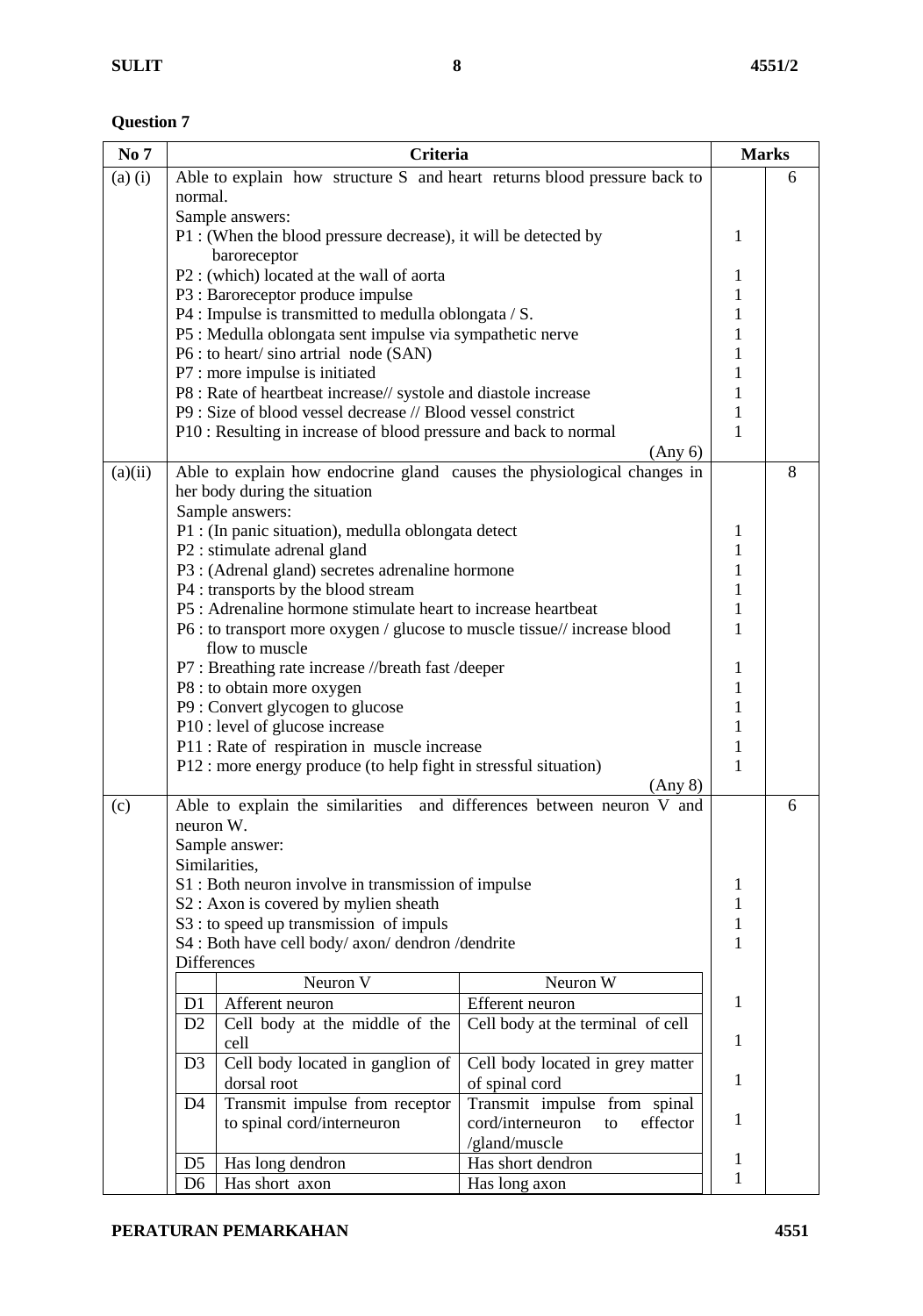$\overline{1}$ 

| No 7        |                | <b>Criteria</b>                                                           |                                                                          | <b>Marks</b> |   |  |
|-------------|----------------|---------------------------------------------------------------------------|--------------------------------------------------------------------------|--------------|---|--|
| $(a)$ $(i)$ |                |                                                                           | Able to explain how structure S and heart returns blood pressure back to |              | 6 |  |
|             | normal.        |                                                                           |                                                                          |              |   |  |
|             |                | Sample answers:                                                           |                                                                          |              |   |  |
|             |                | P1 : (When the blood pressure decrease), it will be detected by           |                                                                          | 1            |   |  |
|             |                | baroreceptor                                                              |                                                                          |              |   |  |
|             |                | P2 : (which) located at the wall of aorta                                 |                                                                          | 1            |   |  |
|             |                | P3 : Baroreceptor produce impulse                                         |                                                                          | $\mathbf{1}$ |   |  |
|             |                | P4 : Impulse is transmitted to medulla oblongata / S.                     |                                                                          | 1            |   |  |
|             |                | P5 : Medulla oblongata sent impulse via sympathetic nerve                 |                                                                          | 1            |   |  |
|             |                | P6 : to heart/sino artrial node (SAN)                                     |                                                                          | 1            |   |  |
|             |                | P7 : more impulse is initiated                                            |                                                                          | 1            |   |  |
|             |                | P8 : Rate of heartbeat increase// systole and diastole increase           |                                                                          | 1            |   |  |
|             |                | P9 : Size of blood vessel decrease // Blood vessel constrict              |                                                                          | 1            |   |  |
|             |                | P10 : Resulting in increase of blood pressure and back to normal          |                                                                          | 1            |   |  |
|             |                |                                                                           | (Any 6)                                                                  |              |   |  |
| (a)(ii)     |                |                                                                           | Able to explain how endocrine gland causes the physiological changes in  |              | 8 |  |
|             |                | her body during the situation                                             |                                                                          |              |   |  |
|             |                | Sample answers:                                                           |                                                                          |              |   |  |
|             |                | P1 : (In panic situation), medulla oblongata detect                       |                                                                          | 1            |   |  |
|             |                | P2 : stimulate adrenal gland                                              |                                                                          | $\mathbf{1}$ |   |  |
|             |                | P3 : (Adrenal gland) secretes adrenaline hormone                          |                                                                          | $\mathbf{1}$ |   |  |
|             |                | P4 : transports by the blood stream                                       |                                                                          | $\mathbf{1}$ |   |  |
|             |                | P5 : Adrenaline hormone stimulate heart to increase heartbeat             |                                                                          | $\mathbf{1}$ |   |  |
|             |                | P6 : to transport more oxygen / glucose to muscle tissue// increase blood |                                                                          | $\mathbf{1}$ |   |  |
|             |                | flow to muscle                                                            |                                                                          |              |   |  |
|             |                | P7 : Breathing rate increase //breath fast /deeper                        |                                                                          | 1            |   |  |
|             |                | P8 : to obtain more oxygen                                                |                                                                          | 1            |   |  |
|             |                | P9 : Convert glycogen to glucose                                          |                                                                          | 1            |   |  |
|             |                | P10 : level of glucose increase                                           |                                                                          | 1            |   |  |
|             |                | P11 : Rate of respiration in muscle increase                              |                                                                          | 1            |   |  |
|             |                | P12 : more energy produce (to help fight in stressful situation)          |                                                                          | 1            |   |  |
|             |                |                                                                           | (Any 8)                                                                  |              |   |  |
| (c)         |                |                                                                           | Able to explain the similarities and differences between neuron V and    |              | 6 |  |
|             | neuron W.      |                                                                           |                                                                          |              |   |  |
|             |                | Sample answer:                                                            |                                                                          |              |   |  |
|             |                | Similarities,                                                             |                                                                          |              |   |  |
|             |                | S1 : Both neuron involve in transmission of impulse                       |                                                                          | 1            |   |  |
|             |                | S2 : Axon is covered by mylien sheath                                     |                                                                          | 1            |   |  |
|             |                | S3 : to speed up transmission of impuls                                   |                                                                          | 1            |   |  |
|             |                | S4 : Both have cell body/ axon/ dendron /dendrite                         |                                                                          | 1            |   |  |
|             |                | Differences                                                               |                                                                          |              |   |  |
|             |                | Neuron V                                                                  | Neuron W                                                                 |              |   |  |
|             | D <sub>1</sub> | Afferent neuron                                                           | Efferent neuron                                                          | 1            |   |  |
|             | D <sub>2</sub> | Cell body at the middle of the                                            | Cell body at the terminal of cell                                        |              |   |  |
|             |                | cell                                                                      |                                                                          | 1            |   |  |
|             | D <sub>3</sub> | Cell body located in ganglion of                                          | Cell body located in grey matter                                         |              |   |  |
|             |                | dorsal root                                                               | of spinal cord                                                           | 1            |   |  |
|             | D4             | Transmit impulse from receptor                                            | Transmit impulse from spinal                                             |              |   |  |
|             |                | to spinal cord/interneuron                                                | cord/interneuron<br>effector<br>to                                       | 1            |   |  |
|             |                |                                                                           | /gland/muscle                                                            |              |   |  |
|             | D <sub>5</sub> | Has long dendron                                                          | Has short dendron                                                        | 1            |   |  |
|             | D <sub>6</sub> | Has short axon                                                            | Has long axon                                                            | $\mathbf{1}$ |   |  |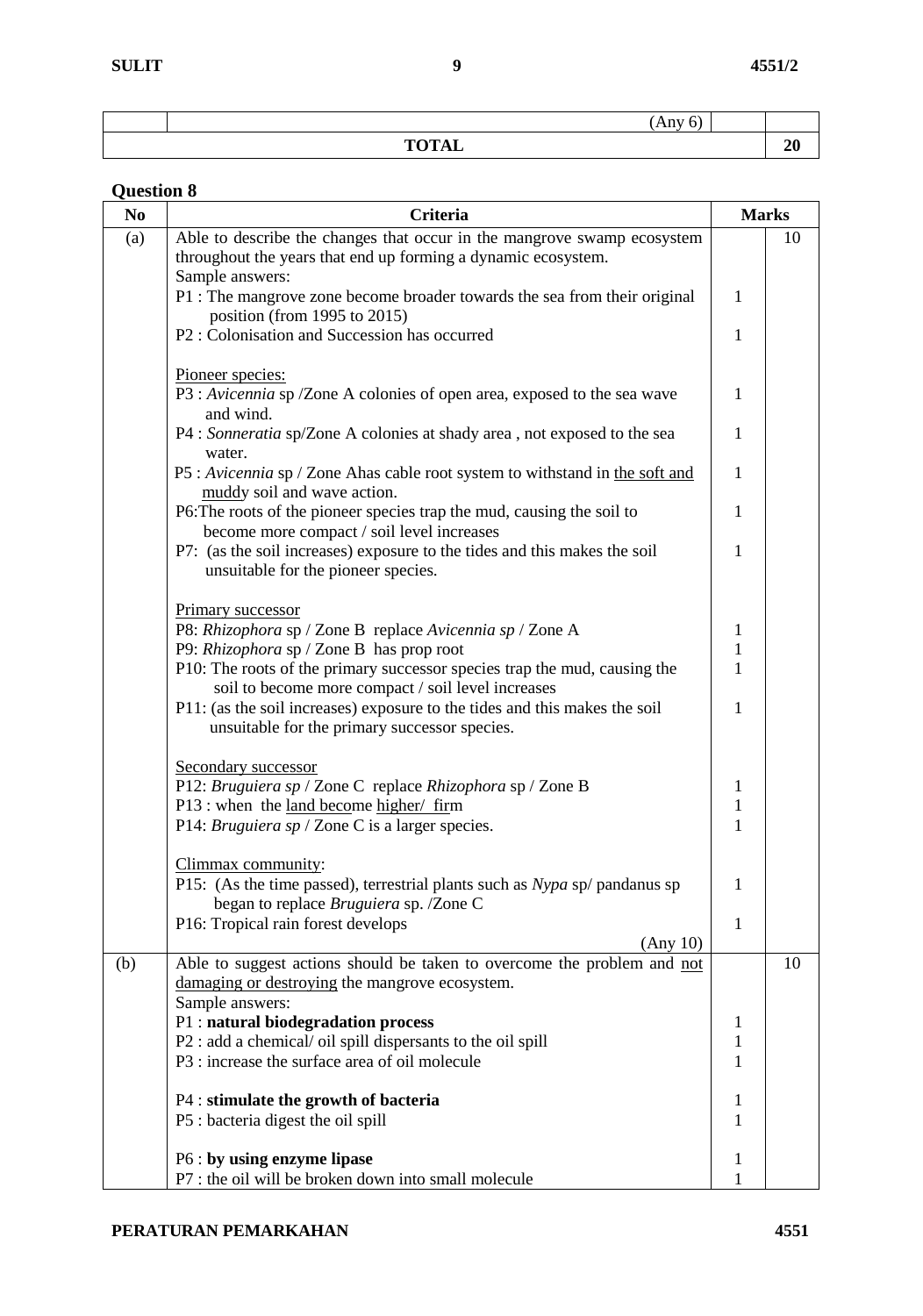| -<br>$\sim$ $\sim$ $\sim$<br> |  |
|-------------------------------|--|
| <b>TOTAL</b><br>.             |  |

| guestion o<br>N <sub>0</sub> | Criteria                                                                                                                                     | <b>Marks</b>                 |    |
|------------------------------|----------------------------------------------------------------------------------------------------------------------------------------------|------------------------------|----|
| (a)                          | Able to describe the changes that occur in the mangrove swamp ecosystem<br>throughout the years that end up forming a dynamic ecosystem.     |                              | 10 |
|                              | Sample answers:<br>P1 : The mangrove zone become broader towards the sea from their original                                                 | 1                            |    |
|                              | position (from 1995 to 2015)<br>P2: Colonisation and Succession has occurred                                                                 | 1                            |    |
|                              | Pioneer species:                                                                                                                             |                              |    |
|                              | P3 : Avicennia sp /Zone A colonies of open area, exposed to the sea wave<br>and wind.                                                        | 1                            |    |
|                              | P4 : Sonneratia sp/Zone A colonies at shady area, not exposed to the sea<br>water.                                                           | $\mathbf{1}$                 |    |
|                              | P5: Avicennia sp / Zone Ahas cable root system to withstand in the soft and<br>muddy soil and wave action.                                   | 1                            |    |
|                              | P6: The roots of the pioneer species trap the mud, causing the soil to<br>become more compact / soil level increases                         | 1                            |    |
|                              | P7: (as the soil increases) exposure to the tides and this makes the soil<br>unsuitable for the pioneer species.                             | 1                            |    |
|                              | Primary successor                                                                                                                            |                              |    |
|                              | P8: Rhizophora sp / Zone B replace Avicennia sp / Zone A                                                                                     | $\mathbf{1}$                 |    |
|                              | P9: Rhizophora sp / Zone B has prop root                                                                                                     | 1                            |    |
|                              | P10: The roots of the primary successor species trap the mud, causing the<br>soil to become more compact / soil level increases              | 1                            |    |
|                              | P11: (as the soil increases) exposure to the tides and this makes the soil<br>unsuitable for the primary successor species.                  | $\mathbf{1}$                 |    |
|                              | Secondary successor                                                                                                                          |                              |    |
|                              | P12: Bruguiera sp / Zone C replace Rhizophora sp / Zone B                                                                                    | $\mathbf{1}$                 |    |
|                              | P13 : when the <u>land become higher/ firm</u>                                                                                               | $\mathbf{1}$<br>$\mathbf{1}$ |    |
|                              | P14: Bruguiera sp / Zone C is a larger species.                                                                                              |                              |    |
|                              | Climmax community:<br>P15: (As the time passed), terrestrial plants such as Nypa sp/ pandanus sp<br>began to replace Bruguiera sp. /Zone C   |                              |    |
|                              | P16: Tropical rain forest develops<br>(Any 10)                                                                                               | $\mathbf{1}$                 |    |
| (b)                          | Able to suggest actions should be taken to overcome the problem and not<br>damaging or destroying the mangrove ecosystem.<br>Sample answers: |                              | 10 |
|                              | P1 : natural biodegradation process                                                                                                          | 1                            |    |
|                              | P2 : add a chemical/ oil spill dispersants to the oil spill                                                                                  | 1                            |    |
|                              | P3 : increase the surface area of oil molecule                                                                                               | 1                            |    |
|                              | P4 : stimulate the growth of bacteria                                                                                                        | 1                            |    |
|                              | P5 : bacteria digest the oil spill                                                                                                           | 1                            |    |
|                              | P6 : by using enzyme lipase                                                                                                                  | 1                            |    |
|                              | P7 : the oil will be broken down into small molecule                                                                                         |                              |    |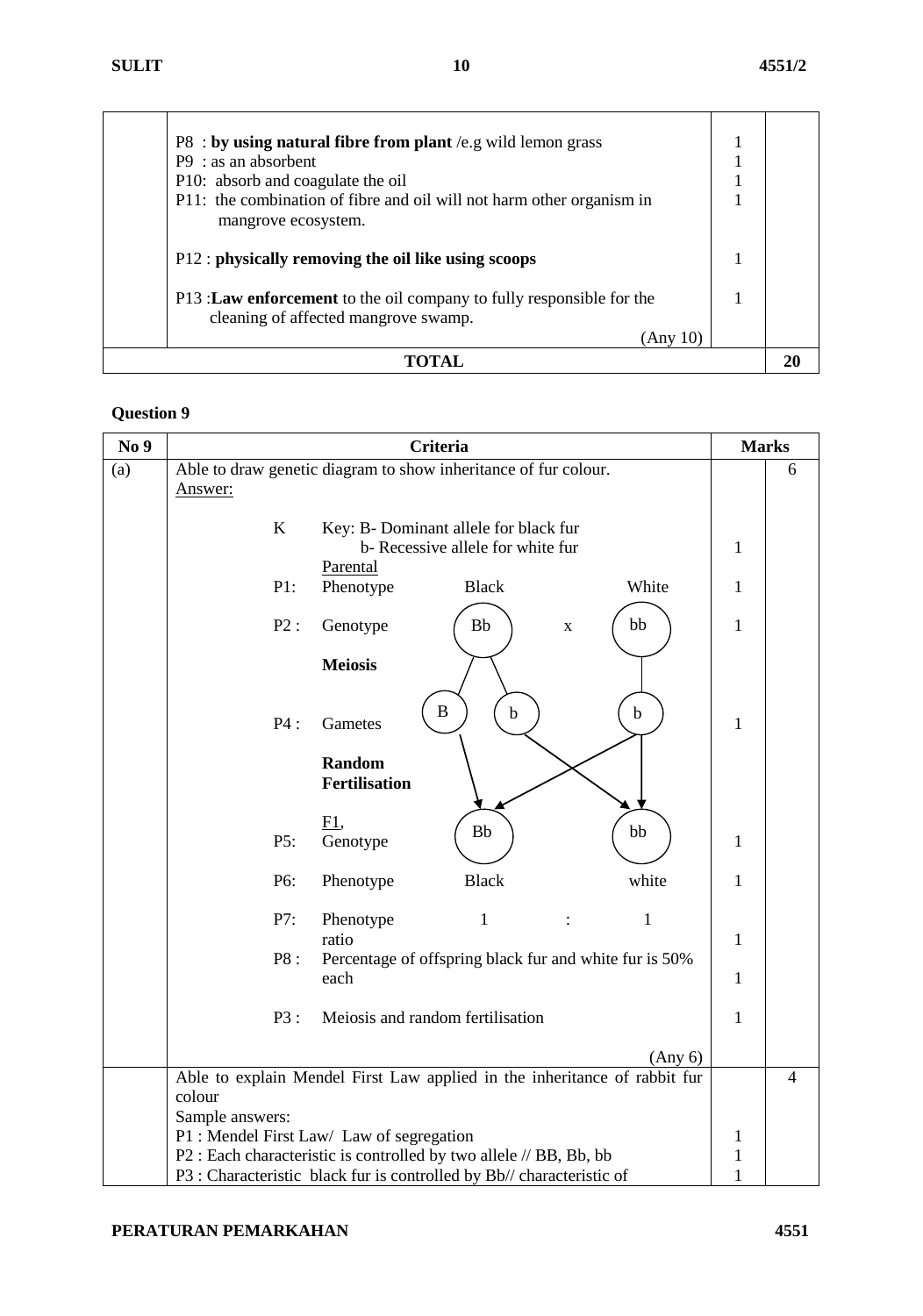| $P8:$ by using natural fibre from plant /e.g wild lemon grass                                                 |  |
|---------------------------------------------------------------------------------------------------------------|--|
| $P9:$ as an absorbent                                                                                         |  |
| P10: absorb and coagulate the oil                                                                             |  |
| P11: the combination of fibre and oil will not harm other organism in<br>mangrove ecosystem.                  |  |
| P12 : physically removing the oil like using scoops                                                           |  |
| P13 : Law enforcement to the oil company to fully responsible for the<br>cleaning of affected mangrove swamp. |  |
| (Any 10)                                                                                                      |  |
|                                                                                                               |  |

| No 9 | Criteria                                                                                                        | <b>Marks</b>                 |   |
|------|-----------------------------------------------------------------------------------------------------------------|------------------------------|---|
| (a)  | Able to draw genetic diagram to show inheritance of fur colour.<br>Answer:                                      |                              | 6 |
|      | K<br>Key: B- Dominant allele for black fur<br>b-Recessive allele for white fur                                  | 1                            |   |
|      | Parental<br>P1:<br>Phenotype<br><b>Black</b><br>White                                                           | $\mathbf{1}$                 |   |
|      | P2:<br>Genotype<br><b>Bb</b><br>bb<br>$\mathbf X$                                                               | $\mathbf{1}$                 |   |
|      | <b>Meiosis</b>                                                                                                  |                              |   |
|      | $\bf{B}$<br>$\mathbf b$<br>$\mathbf b$<br>P4:<br>Gametes                                                        | 1                            |   |
|      | Random<br><b>Fertilisation</b>                                                                                  |                              |   |
|      | E1,<br><b>Bb</b><br>bb<br>Genotype<br>P5:                                                                       | $\mathbf{1}$                 |   |
|      | white<br>P6:<br>Phenotype<br><b>Black</b>                                                                       | $\mathbf{1}$                 |   |
|      | $\mathbf{1}$<br>P7:<br>1<br>Phenotype<br>ratio                                                                  | $\mathbf{1}$                 |   |
|      | P8 :<br>Percentage of offspring black fur and white fur is 50%<br>each                                          | $\mathbf{1}$                 |   |
|      | Meiosis and random fertilisation<br>P3:                                                                         | 1                            |   |
|      | (Any 6)                                                                                                         |                              |   |
|      | Able to explain Mendel First Law applied in the inheritance of rabbit fur<br>colour                             |                              | 4 |
|      | Sample answers:                                                                                                 |                              |   |
|      | P1 : Mendel First Law/ Law of segregation<br>P2 : Each characteristic is controlled by two allele // BB, Bb, bb | $\mathbf{1}$<br>$\mathbf{1}$ |   |
|      | P3 : Characteristic black fur is controlled by Bb// characteristic of                                           | $\mathbf{1}$                 |   |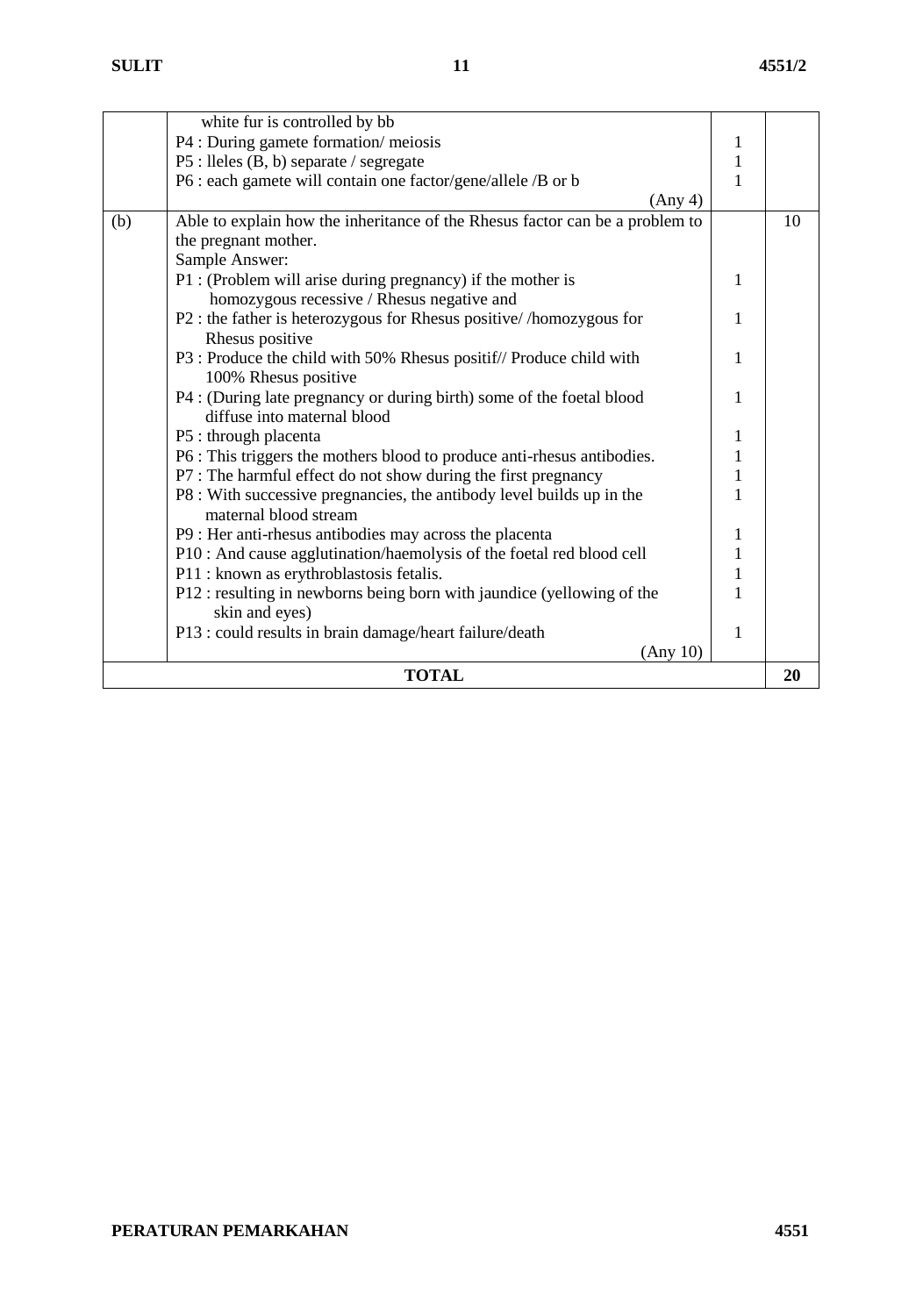|     | <b>TOTAL</b>                                                                                                      |                              | 20 |
|-----|-------------------------------------------------------------------------------------------------------------------|------------------------------|----|
|     | (Any 10)                                                                                                          |                              |    |
|     | P13 : could results in brain damage/heart failure/death                                                           | 1                            |    |
|     | skin and eyes)                                                                                                    |                              |    |
|     | P12 : resulting in newborns being born with jaundice (yellowing of the                                            | 1                            |    |
|     | P10 : And cause agglutination/haemolysis of the foetal red blood cell<br>P11 : known as erythroblastosis fetalis. | $\mathbf{1}$                 |    |
|     | P9 : Her anti-rhesus antibodies may across the placenta                                                           | 1<br>$\mathbf{1}$            |    |
|     |                                                                                                                   |                              |    |
|     | P8 : With successive pregnancies, the antibody level builds up in the<br>maternal blood stream                    |                              |    |
|     | P7 : The harmful effect do not show during the first pregnancy                                                    | $\mathbf{1}$<br>$\mathbf{1}$ |    |
|     | P6 : This triggers the mothers blood to produce anti-rhesus antibodies.                                           | $\mathbf{1}$                 |    |
|     | P5 : through placenta                                                                                             | $\mathbf{1}$                 |    |
|     | diffuse into maternal blood                                                                                       |                              |    |
|     | P4 : (During late pregnancy or during birth) some of the foetal blood                                             | 1                            |    |
|     | 100% Rhesus positive                                                                                              |                              |    |
|     | P3 : Produce the child with 50% Rhesus positif// Produce child with                                               | 1                            |    |
|     | Rhesus positive                                                                                                   |                              |    |
|     | P2 : the father is heterozygous for Rhesus positive//homozygous for                                               | 1                            |    |
|     | P1 : (Problem will arise during pregnancy) if the mother is<br>homozygous recessive / Rhesus negative and         | 1                            |    |
|     | Sample Answer:                                                                                                    |                              |    |
|     | the pregnant mother.                                                                                              |                              |    |
| (b) | Able to explain how the inheritance of the Rhesus factor can be a problem to                                      |                              | 10 |
|     | (Any 4)                                                                                                           |                              |    |
|     | P6 : each gamete will contain one factor/gene/allele /B or b                                                      | 1                            |    |
|     | P5 : lleles (B, b) separate / segregate                                                                           | $\mathbf{1}$                 |    |
|     | P4 : During gamete formation/meiosis                                                                              | 1                            |    |
|     | white fur is controlled by bb                                                                                     |                              |    |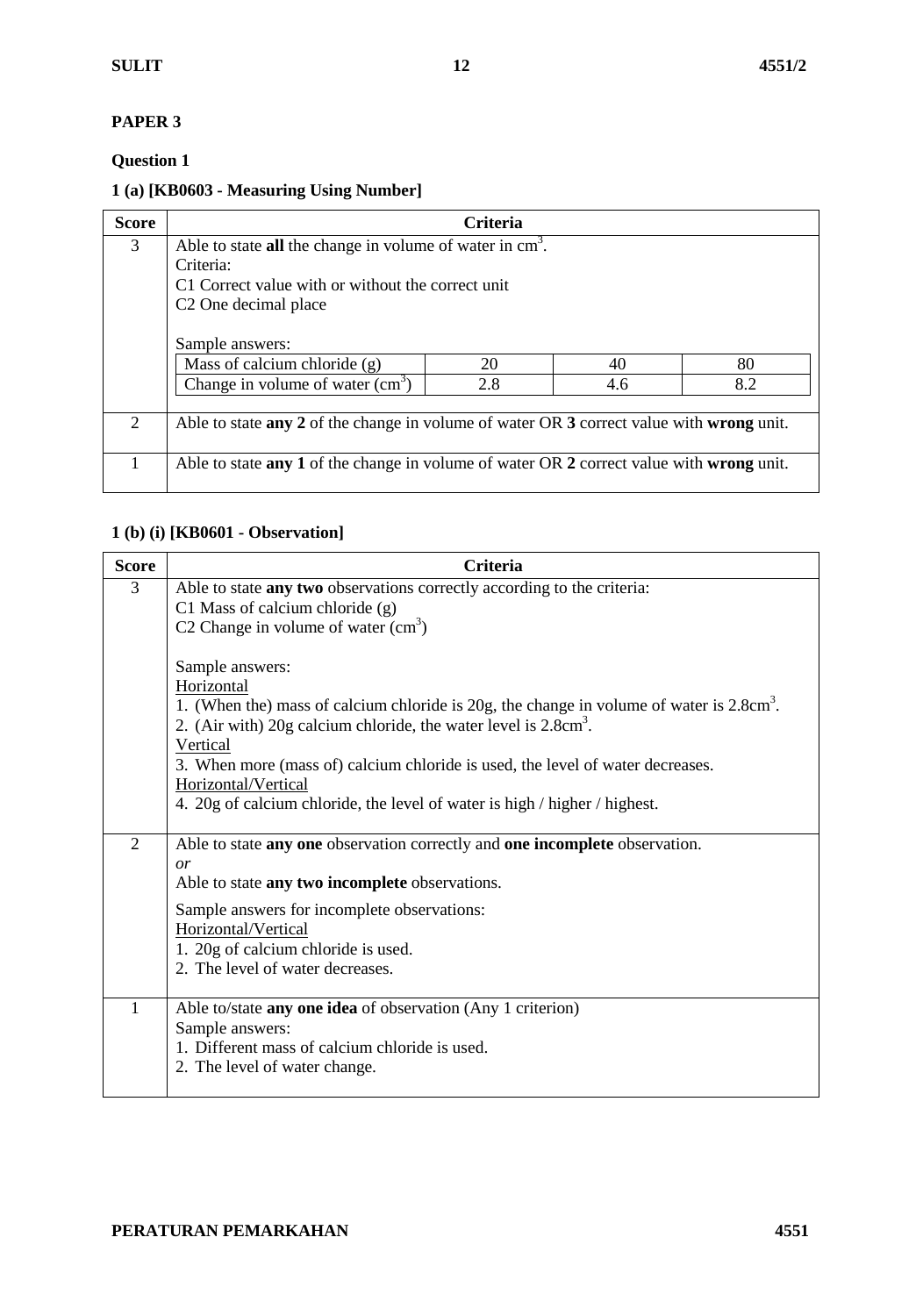#### **PAPER 3**

## **Question 1**

## **1 (a) [KB0603 - Measuring Using Number]**

| <b>Score</b>   |                                                                                          | <b>Criteria</b> |     |     |
|----------------|------------------------------------------------------------------------------------------|-----------------|-----|-----|
| 3              | Able to state all the change in volume of water in $cm3$ .                               |                 |     |     |
|                | Criteria:                                                                                |                 |     |     |
|                | C1 Correct value with or without the correct unit                                        |                 |     |     |
|                | C <sub>2</sub> One decimal place                                                         |                 |     |     |
|                |                                                                                          |                 |     |     |
|                | Sample answers:                                                                          |                 |     |     |
|                | Mass of calcium chloride (g)                                                             | 20              | 40  | 80  |
|                | Change in volume of water $(cm3)$                                                        | 2.8             | 4.6 | 8.2 |
|                |                                                                                          |                 |     |     |
| $\overline{2}$ | Able to state any 2 of the change in volume of water OR 3 correct value with wrong unit. |                 |     |     |
|                |                                                                                          |                 |     |     |
|                | Able to state any 1 of the change in volume of water OR 2 correct value with wrong unit. |                 |     |     |
|                |                                                                                          |                 |     |     |

## **1 (b) (i) [KB0601 - Observation]**

| <b>Score</b>   | <b>Criteria</b>                                                                                                                                                                            |
|----------------|--------------------------------------------------------------------------------------------------------------------------------------------------------------------------------------------|
| 3              | Able to state any two observations correctly according to the criteria:<br>C1 Mass of calcium chloride (g)                                                                                 |
|                | C2 Change in volume of water $(cm3)$                                                                                                                                                       |
|                | Sample answers:                                                                                                                                                                            |
|                | Horizontal<br>1. (When the) mass of calcium chloride is $20g$ , the change in volume of water is $2.8cm3$ .<br>2. (Air with) 20g calcium chloride, the water level is 2.8cm <sup>3</sup> . |
|                | Vertical<br>3. When more (mass of) calcium chloride is used, the level of water decreases.<br>Horizontal/Vertical                                                                          |
|                | 4. 20g of calcium chloride, the level of water is high / higher / highest.                                                                                                                 |
| $\overline{2}$ | Able to state any one observation correctly and one incomplete observation.<br>or                                                                                                          |
|                | Able to state any two incomplete observations.                                                                                                                                             |
|                | Sample answers for incomplete observations:                                                                                                                                                |
|                | Horizontal/Vertical<br>1. 20g of calcium chloride is used.                                                                                                                                 |
|                | 2. The level of water decreases.                                                                                                                                                           |
| 1              | Able to/state any one idea of observation (Any 1 criterion)                                                                                                                                |
|                | Sample answers:<br>1. Different mass of calcium chloride is used.                                                                                                                          |
|                | 2. The level of water change.                                                                                                                                                              |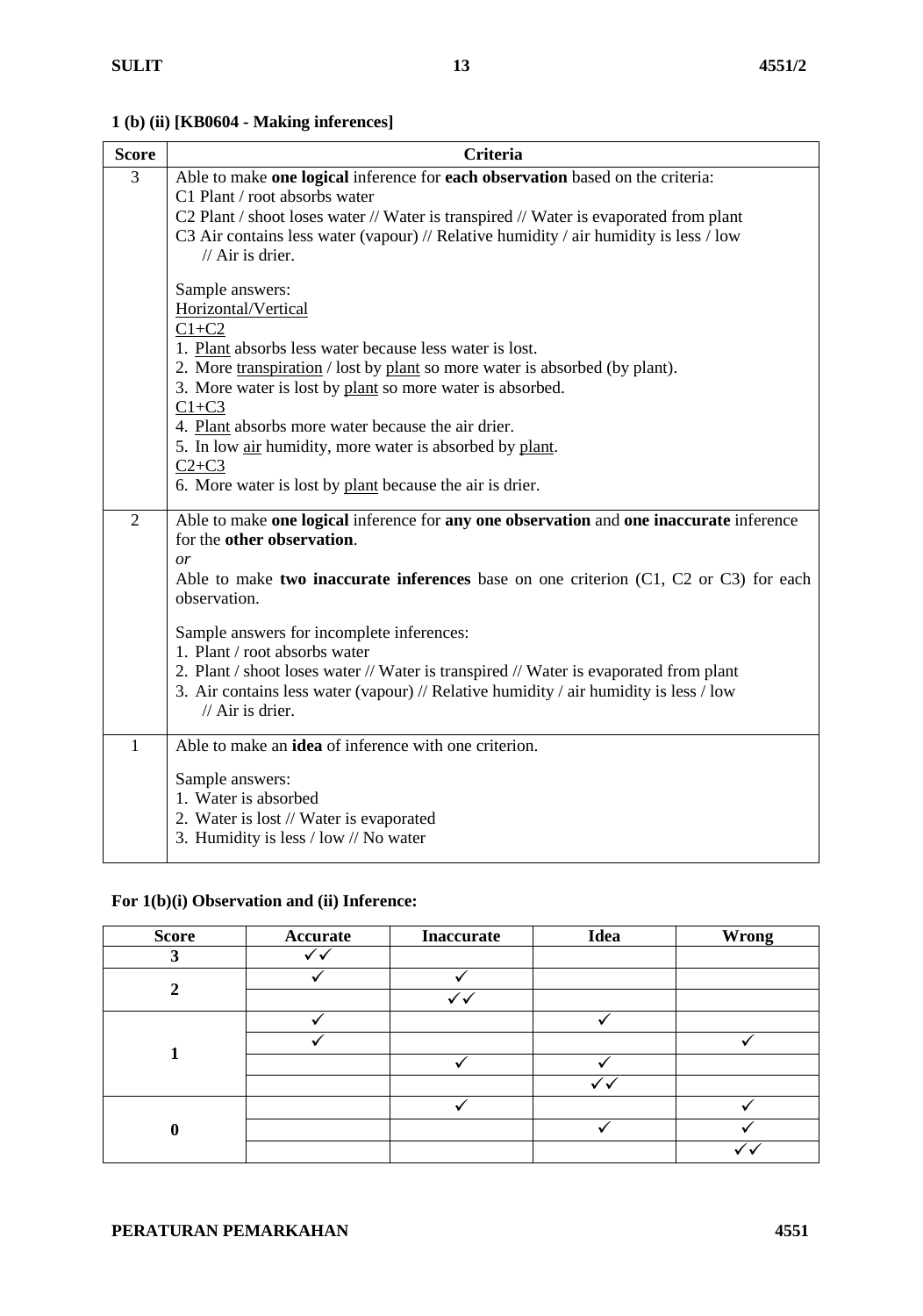**1 (b) (ii) [KB0604 - Making inferences]**

| <b>Score</b>   | <b>Criteria</b>                                                                                                                                                                |
|----------------|--------------------------------------------------------------------------------------------------------------------------------------------------------------------------------|
| 3              | Able to make one logical inference for each observation based on the criteria:                                                                                                 |
|                | C1 Plant / root absorbs water                                                                                                                                                  |
|                | C2 Plant / shoot loses water // Water is transpired // Water is evaporated from plant<br>C3 Air contains less water (vapour) // Relative humidity / air humidity is less / low |
|                | $//$ Air is drier.                                                                                                                                                             |
|                |                                                                                                                                                                                |
|                | Sample answers:                                                                                                                                                                |
|                | Horizontal/Vertical                                                                                                                                                            |
|                | $C1+C2$                                                                                                                                                                        |
|                | 1. Plant absorbs less water because less water is lost.<br>2. More transpiration / lost by plant so more water is absorbed (by plant).                                         |
|                | 3. More water is lost by plant so more water is absorbed.                                                                                                                      |
|                | $C1+C3$                                                                                                                                                                        |
|                | 4. Plant absorbs more water because the air drier.                                                                                                                             |
|                | 5. In low air humidity, more water is absorbed by plant.                                                                                                                       |
|                | $C2+C3$                                                                                                                                                                        |
|                | 6. More water is lost by plant because the air is drier.                                                                                                                       |
| $\overline{2}$ | Able to make one logical inference for any one observation and one inaccurate inference                                                                                        |
|                | for the other observation.                                                                                                                                                     |
|                | or                                                                                                                                                                             |
|                | Able to make two inaccurate inferences base on one criterion $(C1, C2$ or $C3$ ) for each<br>observation.                                                                      |
|                |                                                                                                                                                                                |
|                | Sample answers for incomplete inferences:                                                                                                                                      |
|                | 1. Plant / root absorbs water                                                                                                                                                  |
|                | 2. Plant / shoot loses water // Water is transpired // Water is evaporated from plant                                                                                          |
|                | 3. Air contains less water (vapour) // Relative humidity / air humidity is less / low<br>$//$ Air is drier.                                                                    |
|                |                                                                                                                                                                                |
| $\mathbf{1}$   | Able to make an <b>idea</b> of inference with one criterion.                                                                                                                   |
|                | Sample answers:                                                                                                                                                                |
|                | 1. Water is absorbed                                                                                                                                                           |
|                | 2. Water is lost // Water is evaporated                                                                                                                                        |
|                | 3. Humidity is less / low // No water                                                                                                                                          |
|                |                                                                                                                                                                                |

## **For 1(b)(i) Observation and (ii) Inference:**

| <b>Score</b> | Accurate | <b>Inaccurate</b> | Idea | Wrong |
|--------------|----------|-------------------|------|-------|
| 2            |          |                   |      |       |
| ി            |          |                   |      |       |
|              |          |                   |      |       |
|              |          |                   |      |       |
|              |          |                   |      |       |
|              |          |                   |      |       |
|              |          |                   | ✓◡   |       |
| A            |          |                   |      |       |
|              |          |                   |      |       |
|              |          |                   |      |       |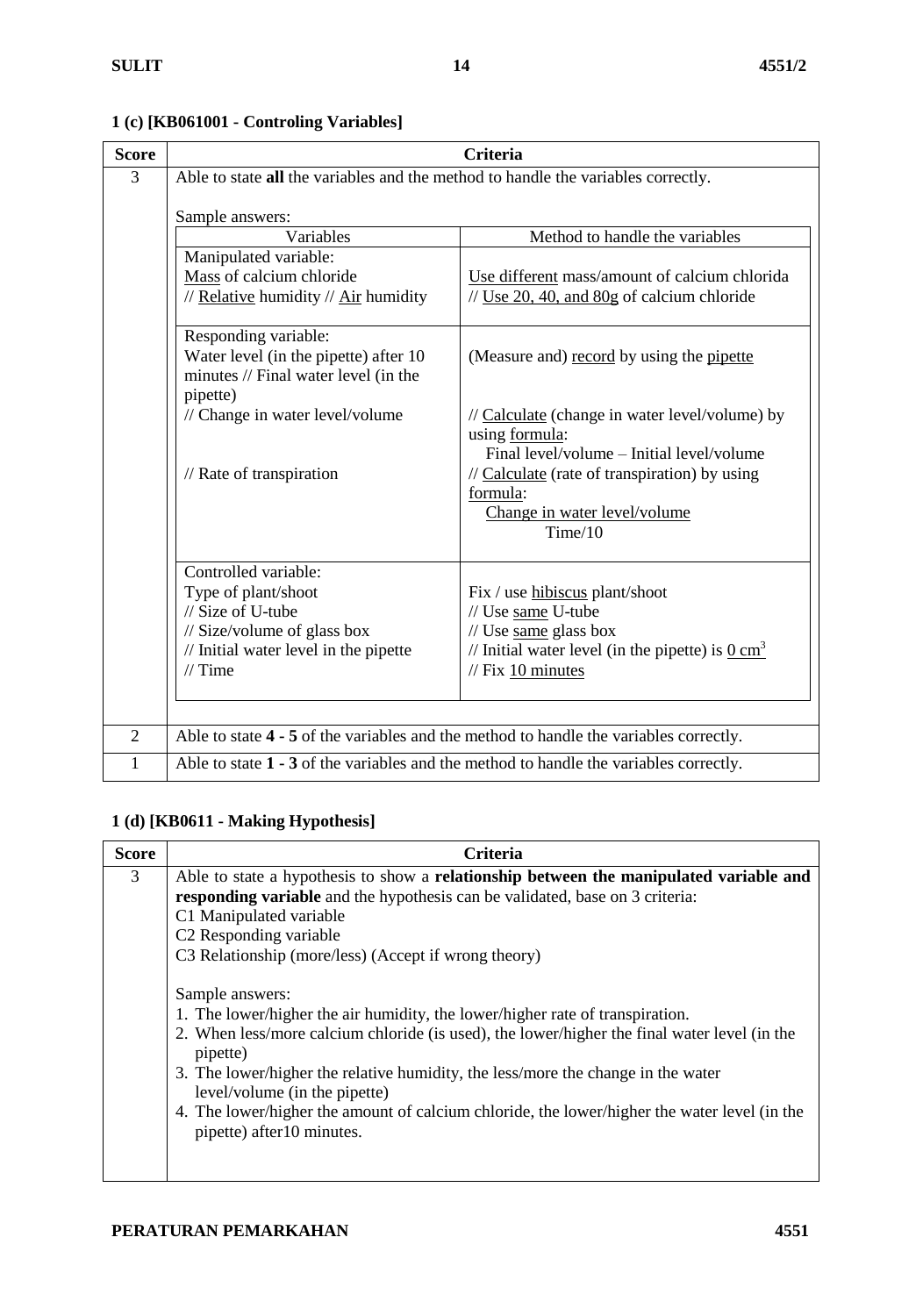| <b>Score</b>   |                                                                                                                   | <b>Criteria</b>                                                                                                             |
|----------------|-------------------------------------------------------------------------------------------------------------------|-----------------------------------------------------------------------------------------------------------------------------|
| 3              | Able to state all the variables and the method to handle the variables correctly.<br>Sample answers:              |                                                                                                                             |
|                | Variables                                                                                                         | Method to handle the variables                                                                                              |
|                | Manipulated variable:<br>Mass of calcium chloride<br>// Relative humidity // Air humidity                         | Use different mass/amount of calcium chlorida<br>$\frac{1}{2}$ Use 20, 40, and 80g of calcium chloride                      |
|                | Responding variable:<br>Water level (in the pipette) after 10<br>minutes // Final water level (in the<br>pipette) | (Measure and) record by using the pipette                                                                                   |
|                | // Change in water level/volume                                                                                   | // Calculate (change in water level/volume) by<br>using formula:<br>Final level/volume - Initial level/volume               |
|                | $\frac{1}{2}$ Rate of transpiration                                                                               | $\frac{1}{2}$ Calculate (rate of transpiration) by using<br>formula:<br>Change in water level/volume<br>Time/10             |
|                | Controlled variable:<br>Type of plant/shoot<br>// Size of U-tube                                                  | Fix / use hibiscus plant/shoot<br>// Use same U-tube                                                                        |
|                | // Size/volume of glass box<br>// Initial water level in the pipette<br>$//$ Time                                 | $\frac{1}{\sqrt{2}}$ Use same glass box<br>// Initial water level (in the pipette) is $0 \text{ cm}^3$<br>// Fix 10 minutes |
| $\overline{2}$ |                                                                                                                   | Able to state 4 - 5 of the variables and the method to handle the variables correctly.                                      |
|                |                                                                                                                   |                                                                                                                             |
| 1              |                                                                                                                   | Able to state $1 - 3$ of the variables and the method to handle the variables correctly.                                    |

## **1 (c) [KB061001 - Controling Variables]**

## **1 (d) [KB0611 - Making Hypothesis]**

| Criteria                                                                                                                                                                                                                                                                                                                                                                                                                                                        |
|-----------------------------------------------------------------------------------------------------------------------------------------------------------------------------------------------------------------------------------------------------------------------------------------------------------------------------------------------------------------------------------------------------------------------------------------------------------------|
| Able to state a hypothesis to show a relationship between the manipulated variable and                                                                                                                                                                                                                                                                                                                                                                          |
| responding variable and the hypothesis can be validated, base on 3 criteria:                                                                                                                                                                                                                                                                                                                                                                                    |
| C1 Manipulated variable                                                                                                                                                                                                                                                                                                                                                                                                                                         |
| C2 Responding variable                                                                                                                                                                                                                                                                                                                                                                                                                                          |
| C3 Relationship (more/less) (Accept if wrong theory)                                                                                                                                                                                                                                                                                                                                                                                                            |
| Sample answers:<br>1. The lower/higher the air humidity, the lower/higher rate of transpiration.<br>2. When less/more calcium chloride (is used), the lower/higher the final water level (in the<br>pipette)<br>3. The lower/higher the relative humidity, the less/more the change in the water<br>level/volume (in the pipette)<br>4. The lower/higher the amount of calcium chloride, the lower/higher the water level (in the<br>pipette) after 10 minutes. |
|                                                                                                                                                                                                                                                                                                                                                                                                                                                                 |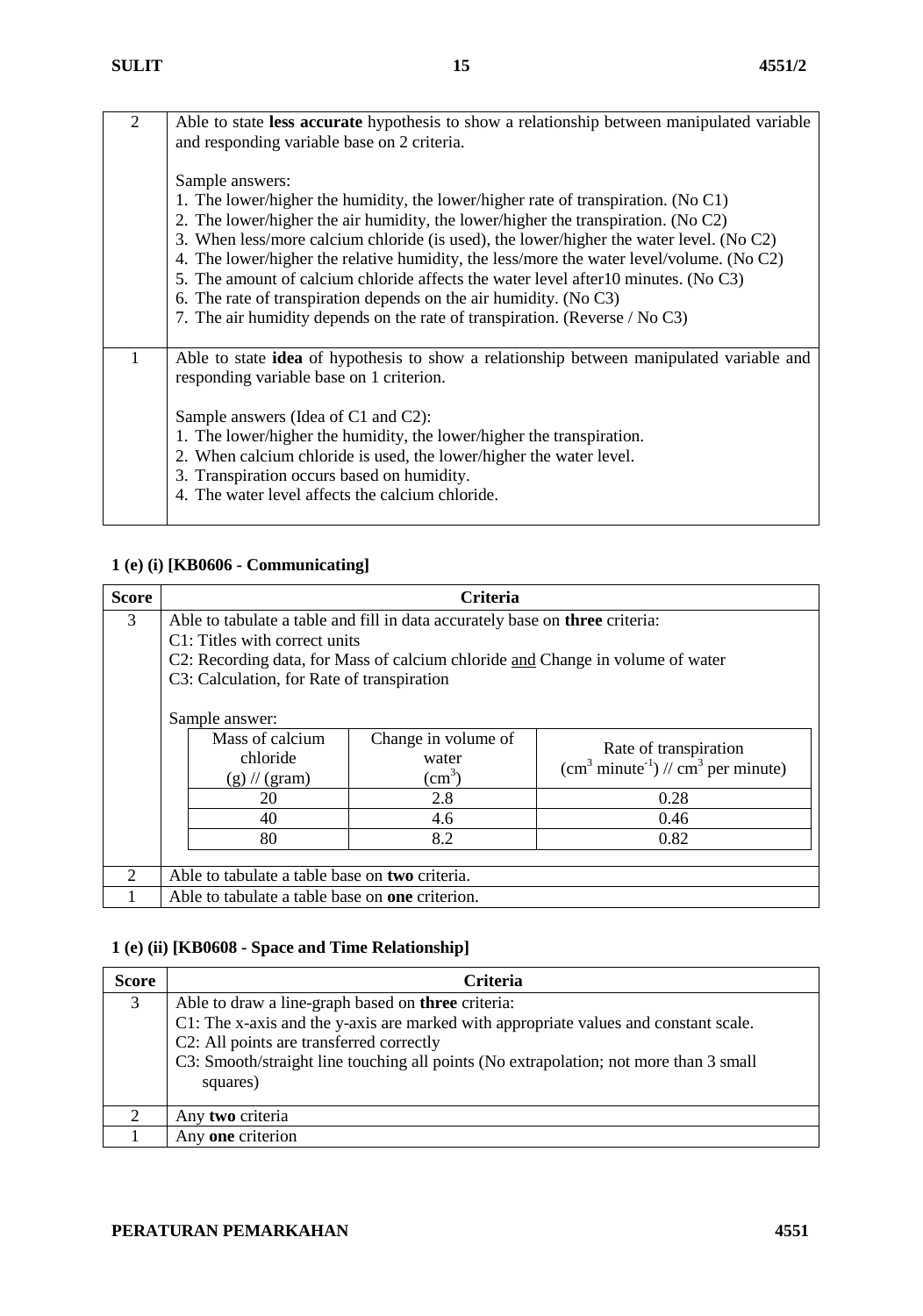| $\overline{2}$ | Able to state less accurate hypothesis to show a relationship between manipulated variable<br>and responding variable base on 2 criteria.   |
|----------------|---------------------------------------------------------------------------------------------------------------------------------------------|
|                | Sample answers:                                                                                                                             |
|                | 1. The lower/higher the humidity, the lower/higher rate of transpiration. (No C1)                                                           |
|                | 2. The lower/higher the air humidity, the lower/higher the transpiration. (No C2)                                                           |
|                | 3. When less/more calcium chloride (is used), the lower/higher the water level. (No C2)                                                     |
|                | 4. The lower/higher the relative humidity, the less/more the water level/volume. (No C2)                                                    |
|                | 5. The amount of calcium chloride affects the water level after 10 minutes. (No C3)                                                         |
|                | 6. The rate of transpiration depends on the air humidity. (No $C3$ )                                                                        |
|                | 7. The air humidity depends on the rate of transpiration. (Reverse / No C3)                                                                 |
| 1              | Able to state <b>idea</b> of hypothesis to show a relationship between manipulated variable and<br>responding variable base on 1 criterion. |
|                | Sample answers (Idea of C1 and C2):                                                                                                         |
|                | 1. The lower/higher the humidity, the lower/higher the transpiration.                                                                       |
|                | 2. When calcium chloride is used, the lower/higher the water level.                                                                         |
|                | 3. Transpiration occurs based on humidity.                                                                                                  |
|                | 4. The water level affects the calcium chloride.                                                                                            |
|                |                                                                                                                                             |

## **1 (e) (i) [KB0606 - Communicating]**

| <b>Score</b>                |                                                                                                                                                                                                                                               | <b>Criteria</b>                                 |                                                                                           |
|-----------------------------|-----------------------------------------------------------------------------------------------------------------------------------------------------------------------------------------------------------------------------------------------|-------------------------------------------------|-------------------------------------------------------------------------------------------|
| 3                           | Able to tabulate a table and fill in data accurately base on three criteria:<br>C1: Titles with correct units<br>C2: Recording data, for Mass of calcium chloride and Change in volume of water<br>C3: Calculation, for Rate of transpiration |                                                 |                                                                                           |
|                             | Sample answer:                                                                                                                                                                                                                                |                                                 |                                                                                           |
|                             | Mass of calcium<br>chloride<br>$(g)$ // (gram)                                                                                                                                                                                                | Change in volume of<br>water<br>$\text{(cm}^3)$ | Rate of transpiration<br>$\text{(cm}^3 \text{ minute}^{-1})$ // $\text{cm}^3$ per minute) |
|                             | 20                                                                                                                                                                                                                                            | 2.8                                             | 0.28                                                                                      |
|                             | 40                                                                                                                                                                                                                                            | 4.6                                             | 0.46                                                                                      |
|                             | 80                                                                                                                                                                                                                                            | 8.2                                             | 0.82                                                                                      |
| $\mathcal{D}_{\mathcal{L}}$ | Able to tabulate a table base on two criteria.                                                                                                                                                                                                |                                                 |                                                                                           |
|                             | Able to tabulate a table base on <b>one</b> criterion.                                                                                                                                                                                        |                                                 |                                                                                           |

## **1 (e) (ii) [KB0608 - Space and Time Relationship]**

| <b>Score</b> | Criteria                                                                                                                                                                                                                                                                                    |
|--------------|---------------------------------------------------------------------------------------------------------------------------------------------------------------------------------------------------------------------------------------------------------------------------------------------|
| 3            | Able to draw a line-graph based on three criteria:<br>C1: The x-axis and the y-axis are marked with appropriate values and constant scale.<br>C2: All points are transferred correctly<br>C3: Smooth/straight line touching all points (No extrapolation; not more than 3 small<br>squares) |
| $\bigcirc$   | Any two criteria                                                                                                                                                                                                                                                                            |
|              | Any one criterion                                                                                                                                                                                                                                                                           |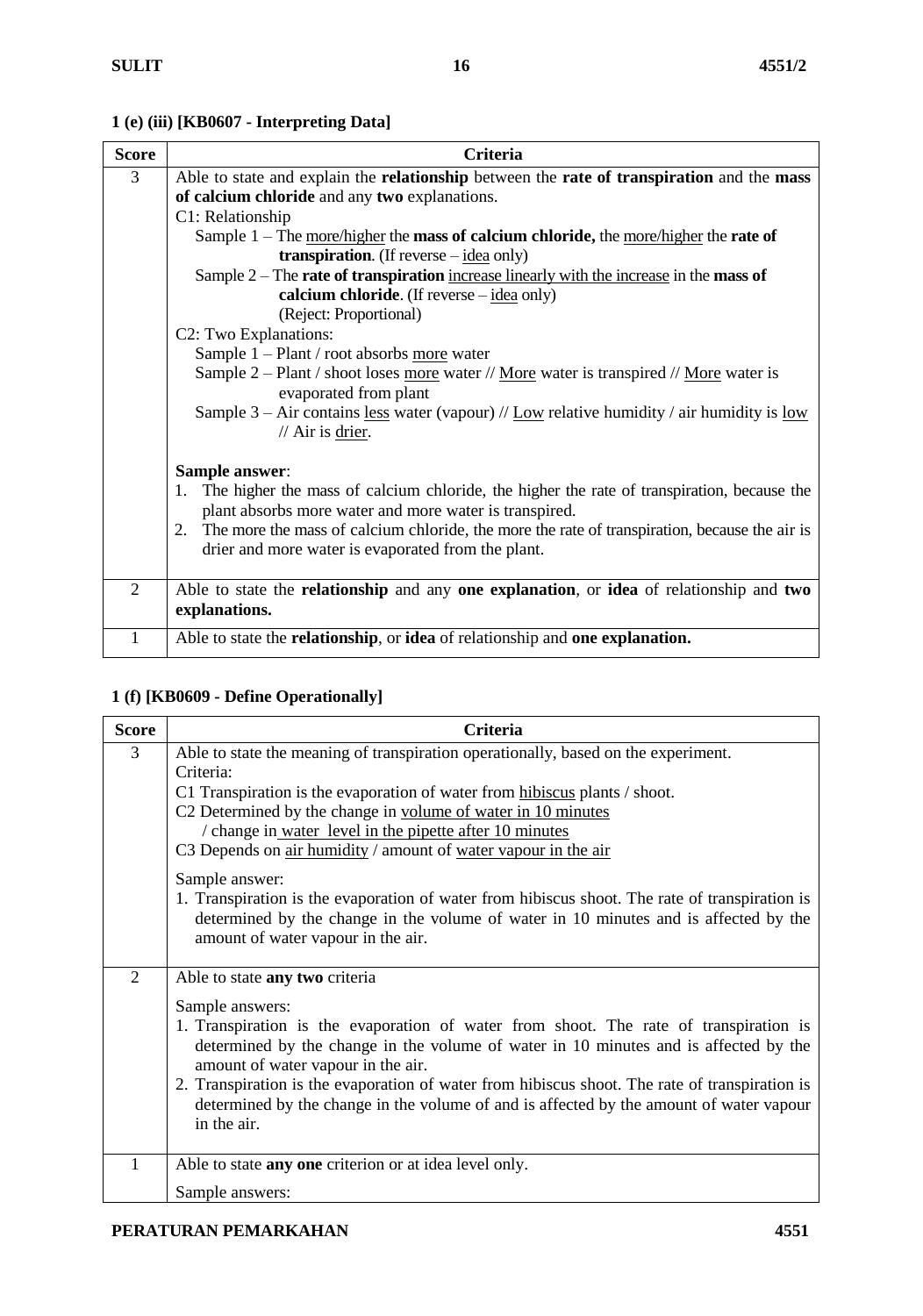## **1 (e) (iii) [KB0607 - Interpreting Data]**

| <b>Score</b>   | <b>Criteria</b>                                                                                                                                            |
|----------------|------------------------------------------------------------------------------------------------------------------------------------------------------------|
| 3              | Able to state and explain the <b>relationship</b> between the <b>rate of transpiration</b> and the <b>mass</b>                                             |
|                | of calcium chloride and any two explanations.                                                                                                              |
|                | C1: Relationship                                                                                                                                           |
|                | Sample $1$ – The <u>more/higher</u> the <b>mass of calcium chloride</b> , the more/higher the <b>rate of</b>                                               |
|                | transpiration. (If reverse $-\underline{\text{idea}}$ only)                                                                                                |
|                | Sample 2 – The rate of transpiration increase linearly with the increase in the mass of                                                                    |
|                | calcium chloride. (If reverse $-\underline{idea}$ only)                                                                                                    |
|                | (Reject: Proportional)                                                                                                                                     |
|                | C2: Two Explanations:                                                                                                                                      |
|                | Sample 1 - Plant / root absorbs more water                                                                                                                 |
|                | Sample 2 – Plant / shoot loses more water // More water is transpired // More water is                                                                     |
|                | evaporated from plant                                                                                                                                      |
|                | Sample 3 – Air contains <u>less</u> water (vapour) // <u>Low</u> relative humidity / air humidity is <u>low</u><br>// Air is drier.                        |
|                |                                                                                                                                                            |
|                | Sample answer:                                                                                                                                             |
|                | The higher the mass of calcium chloride, the higher the rate of transpiration, because the<br>1.<br>plant absorbs more water and more water is transpired. |
|                | 2. The more the mass of calcium chloride, the more the rate of transpiration, because the air is                                                           |
|                | drier and more water is evaporated from the plant.                                                                                                         |
|                |                                                                                                                                                            |
| $\overline{2}$ | Able to state the <b>relationship</b> and any <b>one explanation</b> , or <b>idea</b> of relationship and <b>two</b>                                       |
|                | explanations.                                                                                                                                              |
|                | Able to state the relationship, or idea of relationship and one explanation.                                                                               |

## **1 (f) [KB0609 - Define Operationally]**

| <b>Score</b>   | Criteria                                                                                                                                                                                                                                                                                                                                                                                                                                                                             |
|----------------|--------------------------------------------------------------------------------------------------------------------------------------------------------------------------------------------------------------------------------------------------------------------------------------------------------------------------------------------------------------------------------------------------------------------------------------------------------------------------------------|
| 3              | Able to state the meaning of transpiration operationally, based on the experiment.<br>Criteria:<br>C1 Transpiration is the evaporation of water from hibiscus plants / shoot.<br>C2 Determined by the change in volume of water in 10 minutes<br>/ change in water level in the pipette after 10 minutes<br>C3 Depends on air humidity / amount of water vapour in the air                                                                                                           |
|                | Sample answer:<br>1. Transpiration is the evaporation of water from hibiscus shoot. The rate of transpiration is<br>determined by the change in the volume of water in 10 minutes and is affected by the<br>amount of water vapour in the air.                                                                                                                                                                                                                                       |
| $\overline{2}$ | Able to state any two criteria<br>Sample answers:<br>1. Transpiration is the evaporation of water from shoot. The rate of transpiration is<br>determined by the change in the volume of water in 10 minutes and is affected by the<br>amount of water vapour in the air.<br>2. Transpiration is the evaporation of water from hibiscus shoot. The rate of transpiration is<br>determined by the change in the volume of and is affected by the amount of water vapour<br>in the air. |
|                | Able to state any one criterion or at idea level only.<br>Sample answers:                                                                                                                                                                                                                                                                                                                                                                                                            |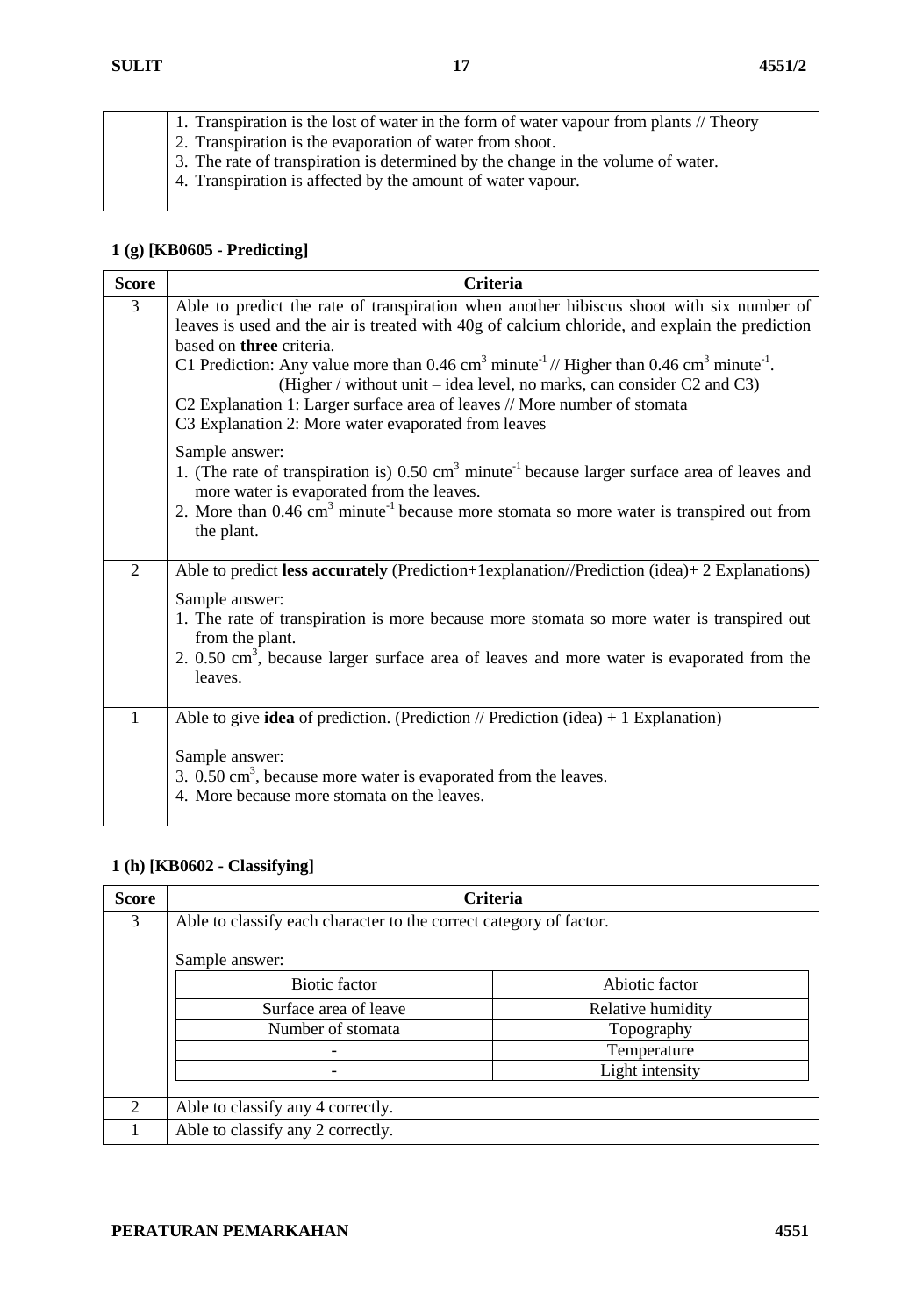1. Transpiration is the lost of water in the form of water vapour from plants // Theory 2. Transpiration is the evaporation of water from shoot. 3. The rate of transpiration is determined by the change in the volume of water. 4. Transpiration is affected by the amount of water vapour.

#### **1 (g) [KB0605 - Predicting]**

| <b>Score</b>   | Criteria                                                                                                                                                                                                                                                                                                                                                                                                                                                                                                                                                                           |
|----------------|------------------------------------------------------------------------------------------------------------------------------------------------------------------------------------------------------------------------------------------------------------------------------------------------------------------------------------------------------------------------------------------------------------------------------------------------------------------------------------------------------------------------------------------------------------------------------------|
| 3              | Able to predict the rate of transpiration when another hibiscus shoot with six number of<br>leaves is used and the air is treated with 40g of calcium chloride, and explain the prediction<br>based on three criteria.<br>C1 Prediction: Any value more than $0.46 \text{ cm}^3$ minute <sup>-1</sup> // Higher than $0.46 \text{ cm}^3$ minute <sup>-1</sup> .<br>(Higher / without unit – idea level, no marks, can consider $C2$ and $C3$ )<br>C2 Explanation 1: Larger surface area of leaves // More number of stomata<br>C3 Explanation 2: More water evaporated from leaves |
|                | Sample answer:<br>1. (The rate of transpiration is) $0.50 \text{ cm}^3$ minute <sup>-1</sup> because larger surface area of leaves and<br>more water is evaporated from the leaves.<br>2. More than $0.46 \text{ cm}^3$ minute <sup>-1</sup> because more stomata so more water is transpired out from<br>the plant.                                                                                                                                                                                                                                                               |
| $\overline{2}$ | Able to predict less accurately (Prediction+1explanation//Prediction (idea)+2 Explanations)<br>Sample answer:<br>1. The rate of transpiration is more because more stomata so more water is transpired out<br>from the plant.<br>2. $0.50 \text{ cm}^3$ , because larger surface area of leaves and more water is evaporated from the<br>leaves.                                                                                                                                                                                                                                   |
| 1              | Able to give <b>idea</b> of prediction. (Prediction // Prediction (idea) $+ 1$ Explanation)<br>Sample answer:<br>3. $0.50 \text{ cm}^3$ , because more water is evaporated from the leaves.<br>4. More because more stomata on the leaves.                                                                                                                                                                                                                                                                                                                                         |

#### **1 (h) [KB0602 - Classifying]**

| <b>Score</b>   |                                                                    | <b>Criteria</b>   |
|----------------|--------------------------------------------------------------------|-------------------|
| 3              | Able to classify each character to the correct category of factor. |                   |
|                | Sample answer:                                                     |                   |
|                | <b>Biotic factor</b>                                               | Abiotic factor    |
|                | Surface area of leave                                              | Relative humidity |
|                | Number of stomata                                                  | Topography        |
|                |                                                                    | Temperature       |
|                |                                                                    | Light intensity   |
|                |                                                                    |                   |
| $\overline{2}$ | Able to classify any 4 correctly.                                  |                   |
|                | Able to classify any 2 correctly.                                  |                   |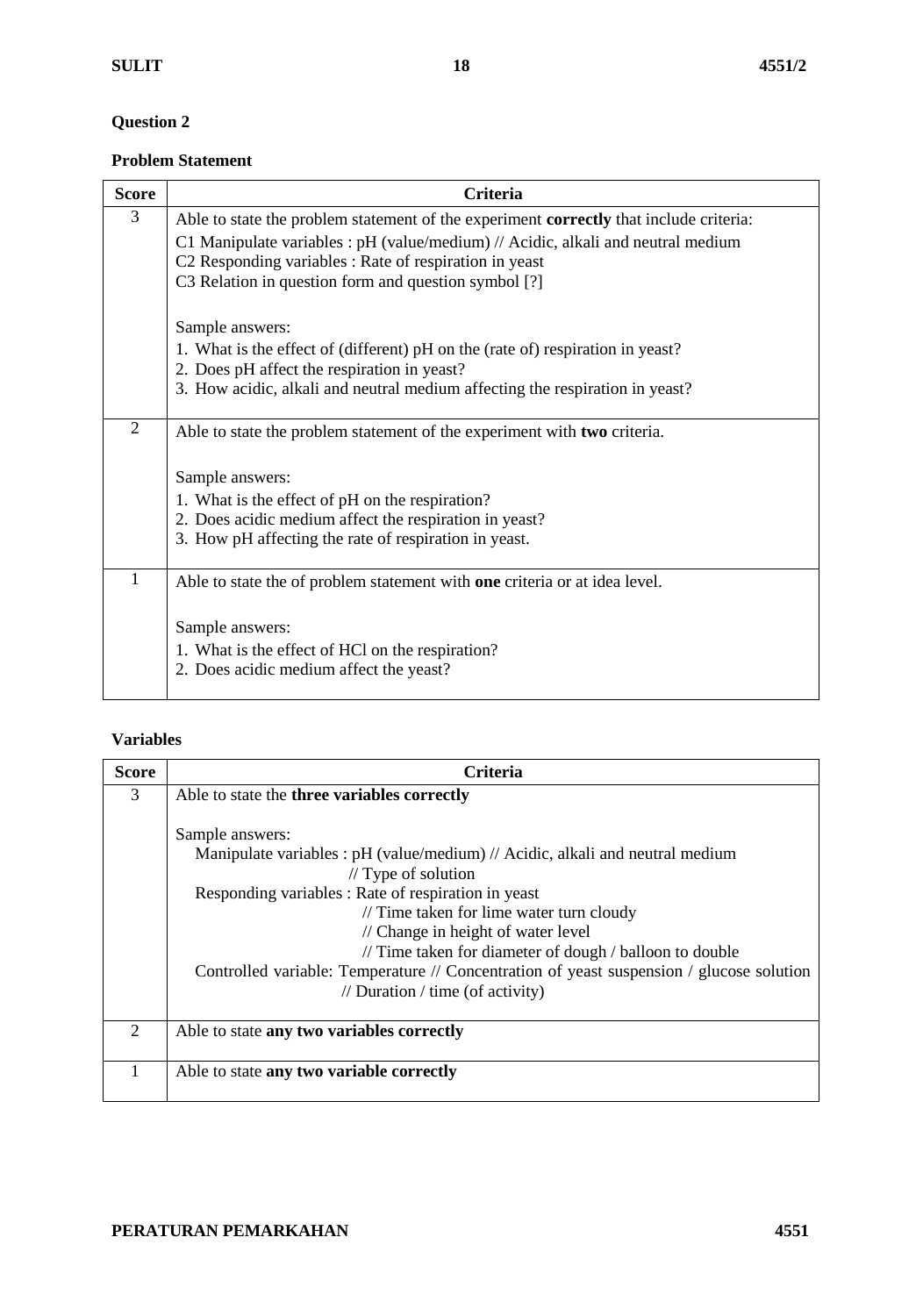#### **Problem Statement**

| <b>Score</b>   | <b>Criteria</b>                                                                        |
|----------------|----------------------------------------------------------------------------------------|
| 3              | Able to state the problem statement of the experiment correctly that include criteria: |
|                | C1 Manipulate variables : $pH$ (value/medium) // Acidic, alkali and neutral medium     |
|                | C2 Responding variables : Rate of respiration in yeast                                 |
|                | C3 Relation in question form and question symbol [?]                                   |
|                | Sample answers:                                                                        |
|                | 1. What is the effect of (different) pH on the (rate of) respiration in yeast?         |
|                | 2. Does pH affect the respiration in yeast?                                            |
|                | 3. How acidic, alkali and neutral medium affecting the respiration in yeast?           |
| $\overline{2}$ | Able to state the problem statement of the experiment with two criteria.               |
|                | Sample answers:                                                                        |
|                | 1. What is the effect of pH on the respiration?                                        |
|                | 2. Does acidic medium affect the respiration in yeast?                                 |
|                | 3. How pH affecting the rate of respiration in yeast.                                  |
| 1              | Able to state the of problem statement with one criteria or at idea level.             |
|                | Sample answers:                                                                        |
|                | 1. What is the effect of HCl on the respiration?                                       |
|                | 2. Does acidic medium affect the yeast?                                                |
|                |                                                                                        |

#### **Variables**

| <b>Score</b>   | Criteria                                                                                 |
|----------------|------------------------------------------------------------------------------------------|
| 3              | Able to state the three variables correctly                                              |
|                |                                                                                          |
|                | Sample answers:                                                                          |
|                | Manipulate variables : pH (value/medium) // Acidic, alkali and neutral medium            |
|                | $\frac{1}{2}$ Type of solution                                                           |
|                | Responding variables : Rate of respiration in yeast                                      |
|                | // Time taken for lime water turn cloudy                                                 |
|                | // Change in height of water level                                                       |
|                | // Time taken for diameter of dough / balloon to double                                  |
|                | Controlled variable: Temperature // Concentration of yeast suspension / glucose solution |
|                | // Duration / time (of activity)                                                         |
|                |                                                                                          |
| $\overline{2}$ | Able to state any two variables correctly                                                |
|                |                                                                                          |
|                | Able to state any two variable correctly                                                 |
|                |                                                                                          |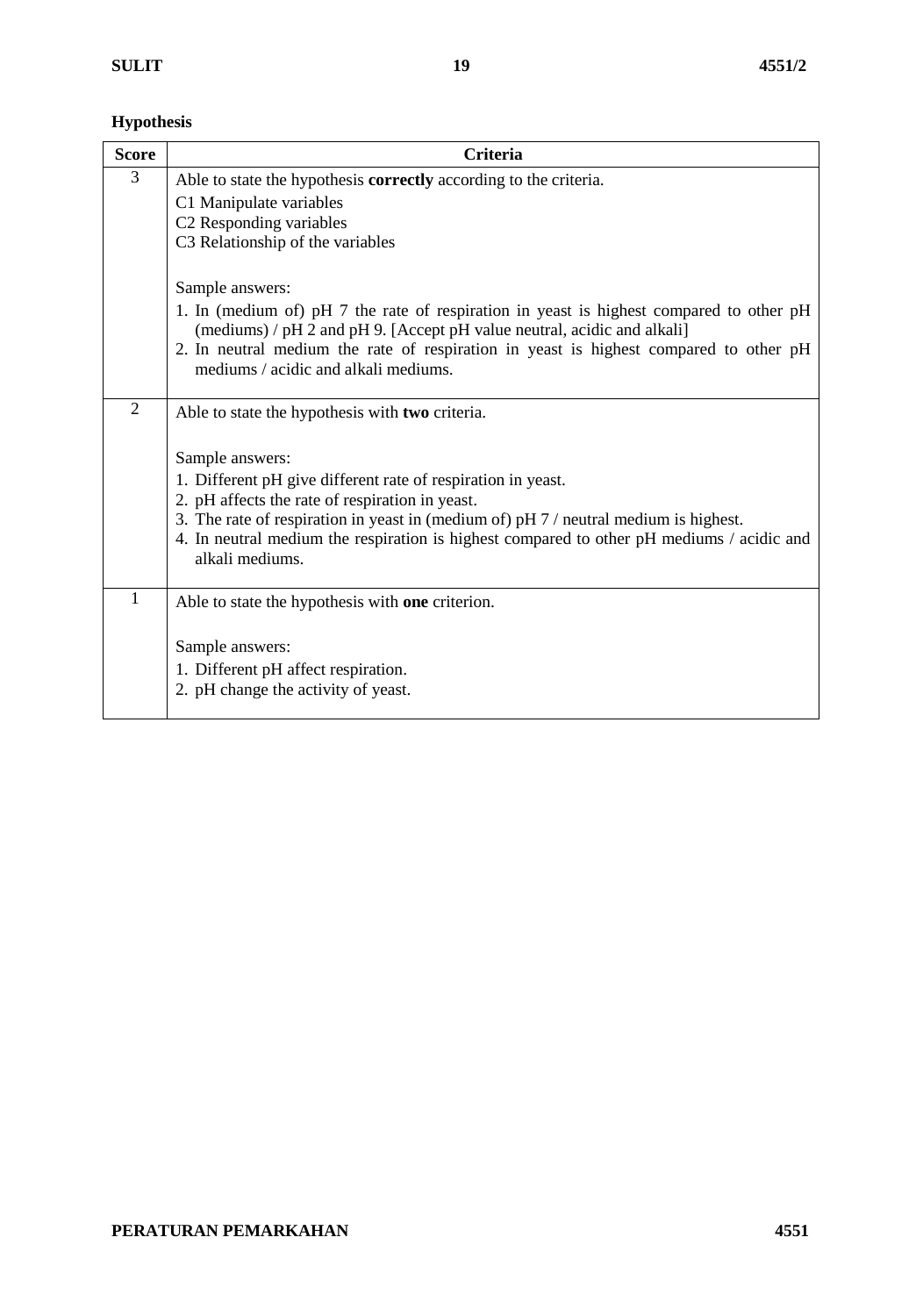## **Hypothesis**

| <b>Score</b>   | <b>Criteria</b>                                                                                                                                                    |
|----------------|--------------------------------------------------------------------------------------------------------------------------------------------------------------------|
| 3              | Able to state the hypothesis <b>correctly</b> according to the criteria.                                                                                           |
|                | C1 Manipulate variables                                                                                                                                            |
|                | C2 Responding variables                                                                                                                                            |
|                | C3 Relationship of the variables                                                                                                                                   |
|                | Sample answers:                                                                                                                                                    |
|                | 1. In (medium of) pH 7 the rate of respiration in yeast is highest compared to other pH<br>(mediums) / pH 2 and pH 9. [Accept pH value neutral, acidic and alkali] |
|                | 2. In neutral medium the rate of respiration in yeast is highest compared to other pH<br>mediums / acidic and alkali mediums.                                      |
| $\overline{2}$ | Able to state the hypothesis with two criteria.                                                                                                                    |
|                |                                                                                                                                                                    |
|                | Sample answers:                                                                                                                                                    |
|                | 1. Different pH give different rate of respiration in yeast.                                                                                                       |
|                | 2. pH affects the rate of respiration in yeast.                                                                                                                    |
|                | 3. The rate of respiration in yeast in (medium of) pH 7 / neutral medium is highest.                                                                               |
|                | 4. In neutral medium the respiration is highest compared to other pH mediums / acidic and<br>alkali mediums.                                                       |
| $\mathbf{1}$   | Able to state the hypothesis with one criterion.                                                                                                                   |
|                |                                                                                                                                                                    |
|                | Sample answers:                                                                                                                                                    |
|                | 1. Different pH affect respiration.                                                                                                                                |
|                | 2. pH change the activity of yeast.                                                                                                                                |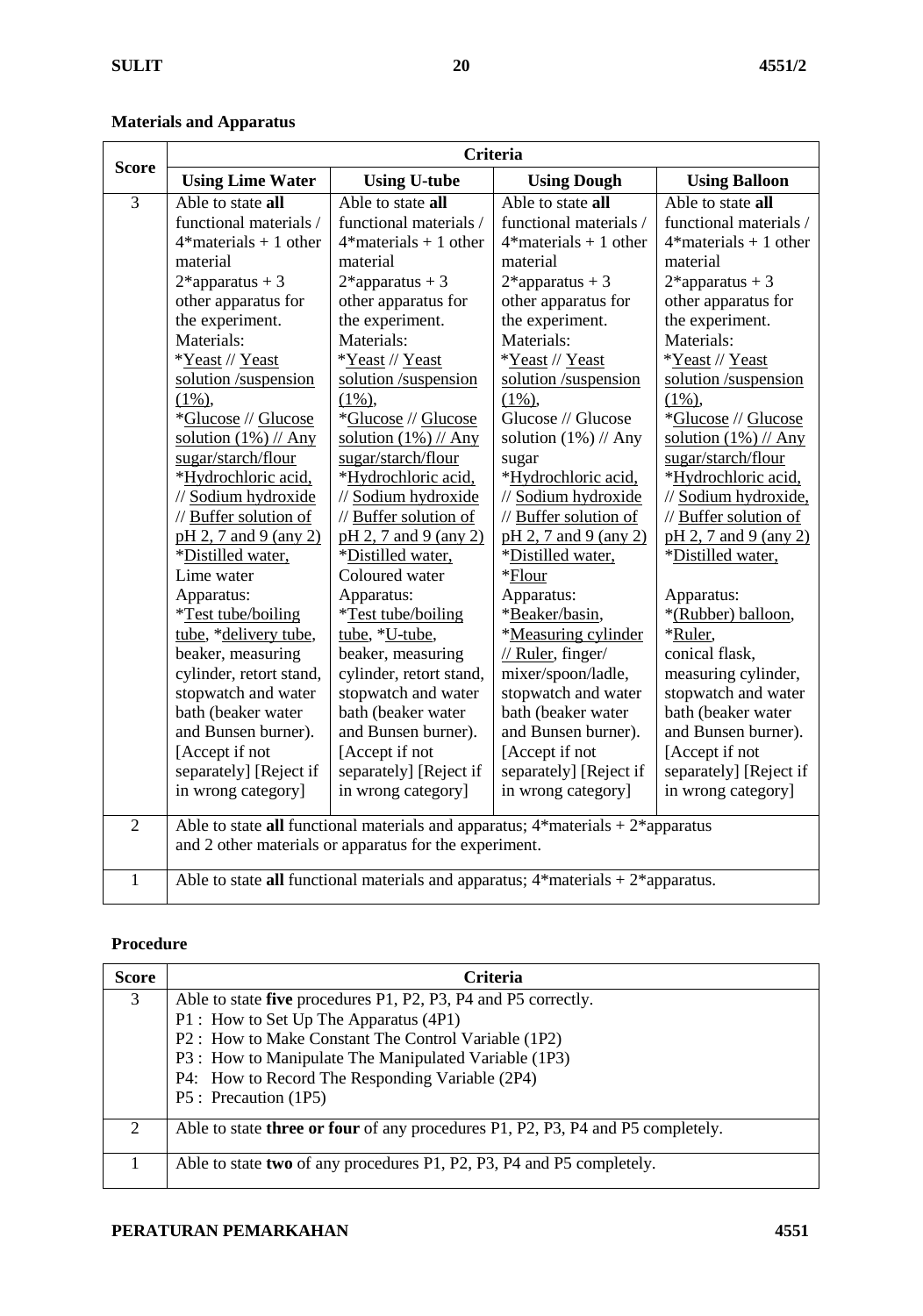## **Materials and Apparatus**

| <b>Score</b>   | <b>Criteria</b>           |                                                        |                                                                                       |                          |
|----------------|---------------------------|--------------------------------------------------------|---------------------------------------------------------------------------------------|--------------------------|
|                | <b>Using Lime Water</b>   | <b>Using U-tube</b>                                    | <b>Using Dough</b>                                                                    | <b>Using Balloon</b>     |
| $\overline{3}$ | Able to state all         | Able to state all                                      | Able to state all                                                                     | Able to state all        |
|                | functional materials /    | functional materials /                                 | functional materials /                                                                | functional materials /   |
|                | $4*$ materials + 1 other  | $4*$ materials + 1 other                               | $4*$ materials + 1 other                                                              | $4*$ materials + 1 other |
|                | material                  | material                                               | material                                                                              | material                 |
|                | $2*$ apparatus + 3        | $2*$ apparatus + 3                                     | $2*$ apparatus + 3                                                                    | $2*$ apparatus + 3       |
|                | other apparatus for       | other apparatus for                                    | other apparatus for                                                                   | other apparatus for      |
|                | the experiment.           | the experiment.                                        | the experiment.                                                                       | the experiment.          |
|                | Materials:                | Materials:                                             | Materials:                                                                            | Materials:               |
|                | *Yeast // Yeast           | *Yeast // Yeast                                        | *Yeast // Yeast                                                                       | *Yeast // Yeast          |
|                | solution /suspension      | solution /suspension                                   | solution /suspension                                                                  | solution /suspension     |
|                | $(1\%)$                   | $(1\%)$ ,                                              | $(1\%)$ ,                                                                             | $(1\%)$ ,                |
|                | *Glucose // Glucose       | *Glucose // Glucose                                    | Glucose // Glucose                                                                    | *Glucose // Glucose      |
|                | solution $(1%)$ // Any    | solution $(1%)$ // Any                                 | solution $(1%)$ // Any                                                                | solution $(1%)$ // Any   |
|                | sugar/starch/flour        | sugar/starch/flour                                     | sugar                                                                                 | sugar/starch/flour       |
|                | *Hydrochloric acid,       | *Hydrochloric acid,                                    | *Hydrochloric acid,                                                                   | *Hydrochloric acid,      |
|                | // Sodium hydroxide       | // Sodium hydroxide                                    | // Sodium hydroxide                                                                   | // Sodium hydroxide,     |
|                | // Buffer solution of     | // Buffer solution of                                  | // Buffer solution of                                                                 | // Buffer solution of    |
|                | pH 2, 7 and 9 (any 2)     | pH 2, 7 and 9 (any 2)                                  | pH 2, 7 and 9 (any 2)                                                                 | pH 2, 7 and 9 (any 2)    |
|                | *Distilled water,         | *Distilled water,                                      | *Distilled water,                                                                     | *Distilled water,        |
|                | Lime water                | Coloured water                                         | *Flour                                                                                |                          |
|                | Apparatus:                | Apparatus:                                             | Apparatus:                                                                            | Apparatus:               |
|                | <i>*Test tube/boiling</i> | <i>*Test tube/boiling</i>                              | *Beaker/basin,                                                                        | *(Rubber) balloon,       |
|                | tube, *delivery tube,     | tube, *U-tube,                                         | *Measuring cylinder                                                                   | *Ruler,                  |
|                | beaker, measuring         | beaker, measuring                                      | // Ruler, finger/                                                                     | conical flask,           |
|                | cylinder, retort stand,   | cylinder, retort stand,                                | mixer/spoon/ladle,                                                                    | measuring cylinder,      |
|                | stopwatch and water       | stopwatch and water                                    | stopwatch and water                                                                   | stopwatch and water      |
|                | bath (beaker water        | bath (beaker water                                     | bath (beaker water                                                                    | bath (beaker water       |
|                | and Bunsen burner).       | and Bunsen burner).                                    | and Bunsen burner).                                                                   | and Bunsen burner).      |
|                | [Accept if not            | [Accept if not                                         | [Accept if not                                                                        | [Accept if not           |
|                | separately] [Reject if    | separately] [Reject if                                 | separately] [Reject if                                                                | separately] [Reject if   |
|                | in wrong category]        | in wrong category]                                     | in wrong category]                                                                    | in wrong category]       |
| $\overline{2}$ |                           |                                                        | Able to state all functional materials and apparatus; $4*$ materials + $2*$ apparatus |                          |
|                |                           | and 2 other materials or apparatus for the experiment. |                                                                                       |                          |
| $\mathbf{1}$   |                           |                                                        | Able to state all functional materials and apparatus; $4*$ materials $+2*$ apparatus. |                          |
|                |                           |                                                        |                                                                                       |                          |

#### **Procedure**

| <b>Score</b> | <b>Criteria</b>                                                                        |
|--------------|----------------------------------------------------------------------------------------|
| 3            | Able to state five procedures P1, P2, P3, P4 and P5 correctly.                         |
|              | P1 : How to Set Up The Apparatus (4P1)                                                 |
|              | P2 : How to Make Constant The Control Variable (1P2)                                   |
|              | P3 : How to Manipulate The Manipulated Variable (1P3)                                  |
|              | P4: How to Record The Responding Variable (2P4)                                        |
|              | P5 : Precaution (1P5)                                                                  |
| 2            | Able to state <b>three or four</b> of any procedures P1, P2, P3, P4 and P5 completely. |
|              | Able to state two of any procedures P1, P2, P3, P4 and P5 completely.                  |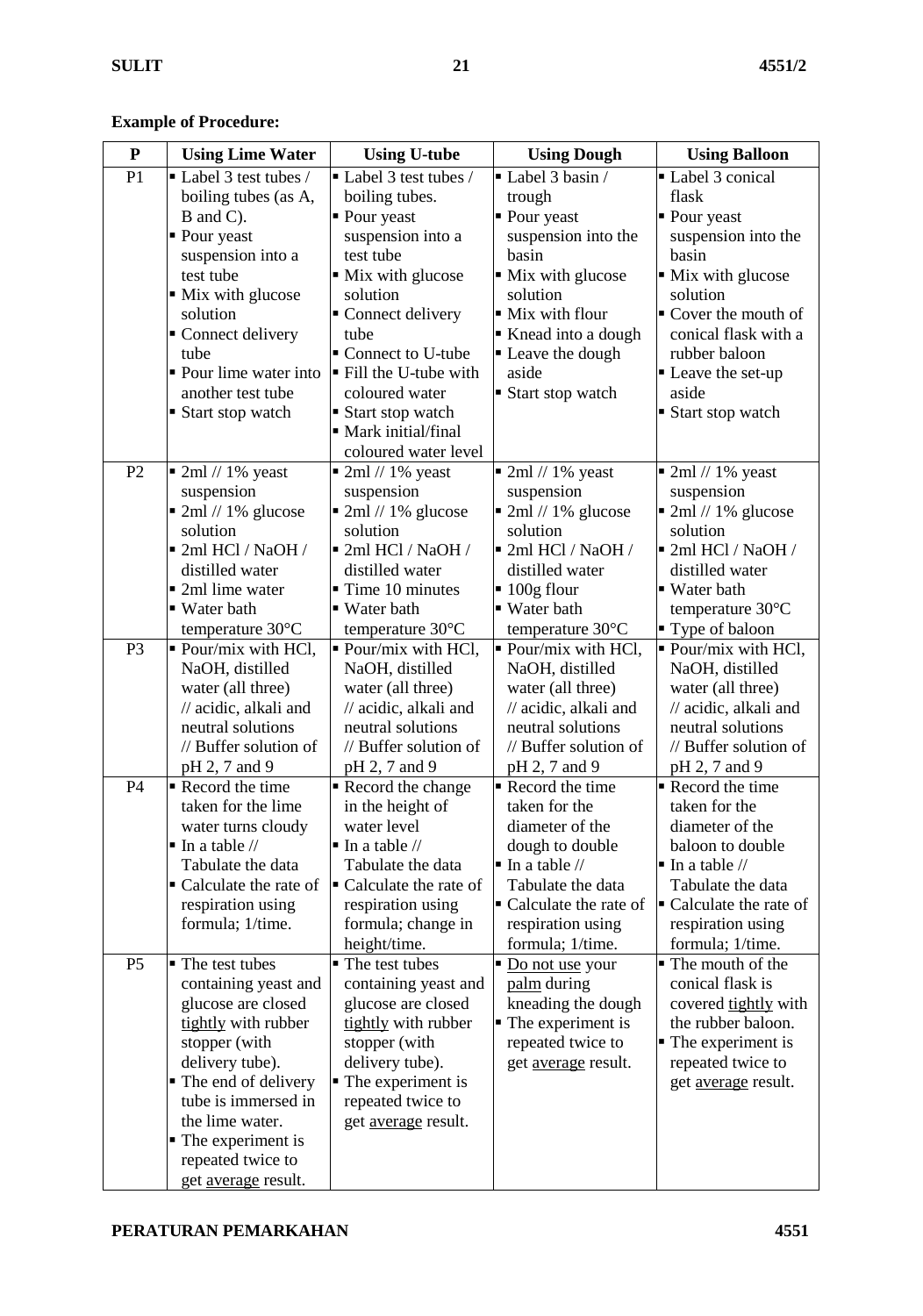**Example of Procedure:**

| ${\bf P}$      | <b>Using Lime Water</b>                    | <b>Using U-tube</b>                            | <b>Using Dough</b>                             | <b>Using Balloon</b>                           |
|----------------|--------------------------------------------|------------------------------------------------|------------------------------------------------|------------------------------------------------|
| P1             | Label 3 test tubes /                       | Label 3 test tubes /                           | Label 3 basin /                                | Label 3 conical                                |
|                | boiling tubes (as A,                       | boiling tubes.                                 | trough                                         | flask                                          |
|                | B and C).                                  | • Pour yeast                                   | • Pour yeast                                   | • Pour yeast                                   |
|                | • Pour yeast                               | suspension into a                              | suspension into the                            | suspension into the                            |
|                | suspension into a                          | test tube                                      | basin                                          | basin                                          |
|                | test tube                                  | • Mix with glucose                             | • Mix with glucose                             | • Mix with glucose                             |
|                | • Mix with glucose                         | solution                                       | solution                                       | solution                                       |
|                | solution                                   | Connect delivery                               | • Mix with flour                               | • Cover the mouth of                           |
|                | • Connect delivery                         | tube                                           | Knead into a dough                             | conical flask with a                           |
|                | tube                                       | • Connect to U-tube                            | • Leave the dough                              | rubber baloon                                  |
|                | • Pour lime water into                     | Fill the U-tube with                           | aside                                          | • Leave the set-up                             |
|                | another test tube                          | coloured water                                 | ■ Start stop watch                             | aside                                          |
|                | ■ Start stop watch                         | ■ Start stop watch                             |                                                | Start stop watch                               |
|                |                                            | • Mark initial/final                           |                                                |                                                |
|                |                                            | coloured water level                           |                                                |                                                |
| P2             | $\blacksquare$ 2ml // 1% yeast             | $\blacksquare$ 2ml // 1% yeast                 | $\blacksquare$ 2ml // 1% yeast                 | $\blacksquare$ 2ml // 1% yeast                 |
|                | suspension<br>2ml // 1% glucose            | suspension<br>$\blacksquare$ 2ml // 1% glucose | suspension<br>$\blacksquare$ 2ml // 1% glucose | suspension<br>$\blacksquare$ 2ml // 1% glucose |
|                | solution                                   | solution                                       | solution                                       | solution                                       |
|                | ■ 2ml HCl / NaOH /                         | ■ 2ml HCl / NaOH /                             | ■ 2ml HCl / NaOH /                             | ■ 2ml HCl / NaOH /                             |
|                | distilled water                            | distilled water                                | distilled water                                | distilled water                                |
|                | ■ 2ml lime water                           | $\blacksquare$ Time 10 minutes                 | $\blacksquare$ 100g flour                      | ■ Water bath                                   |
|                | ■ Water bath                               | ■ Water bath                                   | ■ Water bath                                   | temperature 30°C                               |
|                | temperature $30^{\circ}$ C                 | temperature $30^{\circ}$ C                     | temperature $30^{\circ}$ C                     | " Type of baloon                               |
| P <sub>3</sub> | • Pour/mix with HCl,                       | • Pour/mix with HCl,                           | • Pour/mix with HCl,                           | • Pour/mix with HCl,                           |
|                | NaOH, distilled                            | NaOH, distilled                                | NaOH, distilled                                | NaOH, distilled                                |
|                | water (all three)                          | water (all three)                              | water (all three)                              | water (all three)                              |
|                | // acidic, alkali and                      | // acidic, alkali and                          | // acidic, alkali and                          | // acidic, alkali and                          |
|                | neutral solutions                          | neutral solutions                              | neutral solutions                              | neutral solutions                              |
|                | // Buffer solution of                      | // Buffer solution of                          | // Buffer solution of                          | // Buffer solution of                          |
|                | pH 2, 7 and 9                              | pH 2, 7 and 9                                  | pH 2, 7 and 9                                  | pH 2, 7 and 9                                  |
| P4             | Record the time                            | Record the change                              | Record the time                                | Record the time                                |
|                | taken for the lime                         | in the height of                               | taken for the                                  | taken for the                                  |
|                | water turns cloudy                         | water level                                    | diameter of the                                | diameter of the                                |
|                | $\blacksquare$ In a table //               | $\blacksquare$ In a table //                   | dough to double                                | baloon to double                               |
|                | Tabulate the data                          | Tabulate the data                              | $\blacksquare$ In a table //                   | $\blacksquare$ In a table //                   |
|                | • Calculate the rate of                    | • Calculate the rate of                        | Tabulate the data                              | Tabulate the data                              |
|                | respiration using                          | respiration using                              | • Calculate the rate of                        | • Calculate the rate of                        |
|                | formula; 1/time.                           | formula; change in                             | respiration using                              | respiration using                              |
|                |                                            | height/time.                                   | formula; 1/time.                               | formula; 1/time.                               |
| P <sub>5</sub> | • The test tubes                           | • The test tubes                               | Do not use your                                | • The mouth of the                             |
|                | containing yeast and<br>glucose are closed | containing yeast and                           | palm during                                    | conical flask is<br>covered tightly with       |
|                | tightly with rubber                        | glucose are closed<br>tightly with rubber      | kneading the dough<br>• The experiment is      | the rubber baloon.                             |
|                | stopper (with                              | stopper (with                                  | repeated twice to                              | • The experiment is                            |
|                | delivery tube).                            | delivery tube).                                | get average result.                            | repeated twice to                              |
|                | • The end of delivery                      | • The experiment is                            |                                                | get average result.                            |
|                | tube is immersed in                        | repeated twice to                              |                                                |                                                |
|                | the lime water.                            | get average result.                            |                                                |                                                |
|                | • The experiment is                        |                                                |                                                |                                                |
|                | repeated twice to                          |                                                |                                                |                                                |
|                | get average result.                        |                                                |                                                |                                                |